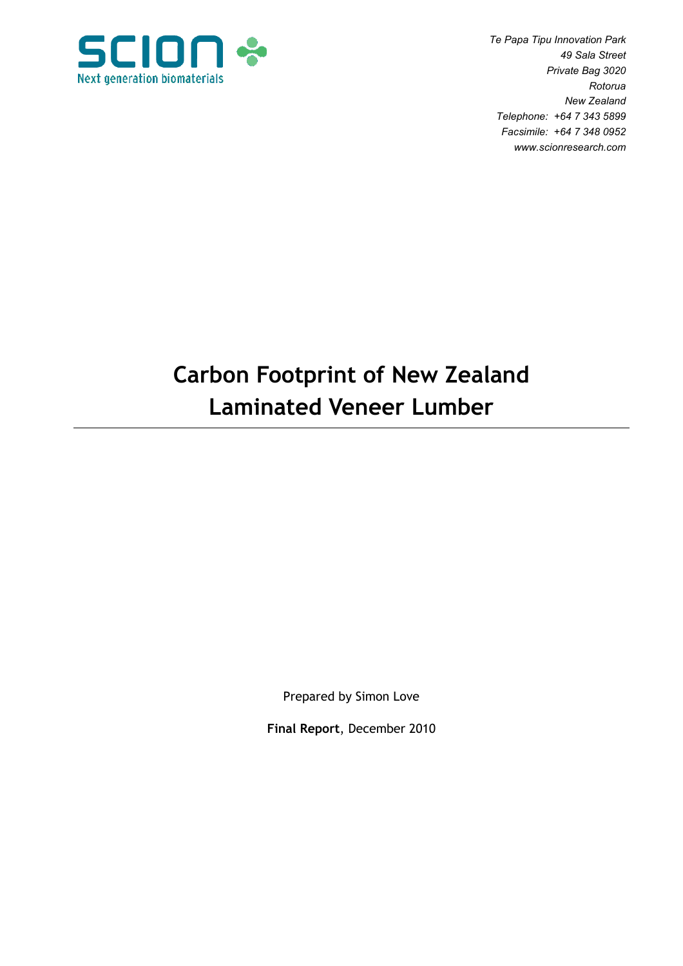

 Te Papa Tipu Innovation Park 49 Sala Street Private Bag 3020 Rotorua New Zealand Telephone: +64 7 343 5899 Facsimile: +64 7 348 0952 www.scionresearch.com

# Carbon Footprint of New Zealand Laminated Veneer Lumber

Prepared by Simon Love

Final Report, December 2010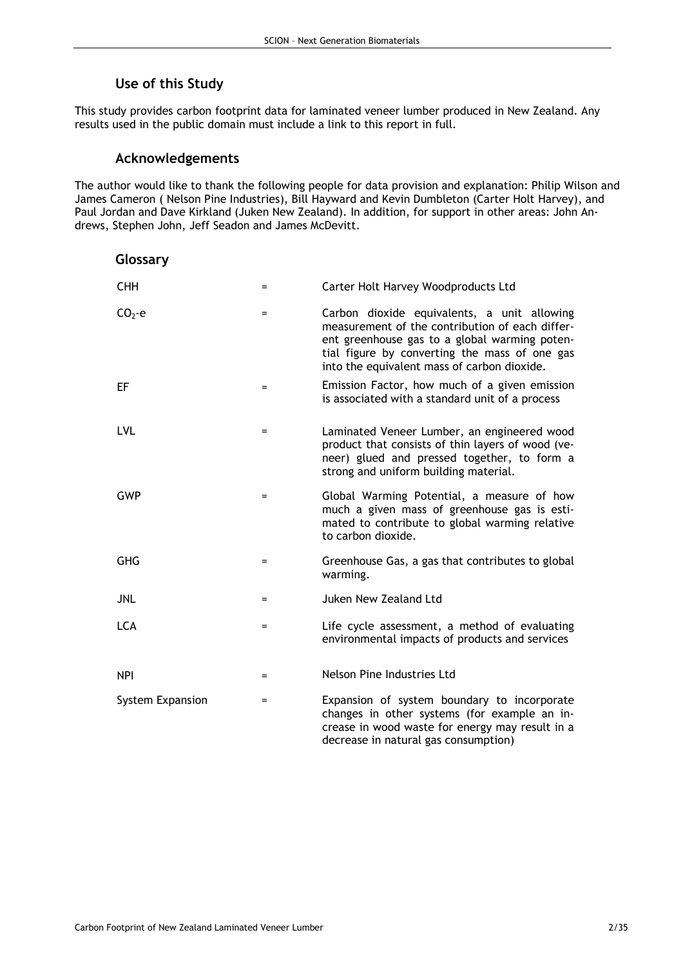# Use of this Study

This study provides carbon footprint data for laminated veneer lumber produced in New Zealand. Any results used in the public domain must include a link to this report in full.

## Acknowledgements

The author would like to thank the following people for data provision and explanation: Philip Wilson and James Cameron ( Nelson Pine Industries), Bill Hayward and Kevin Dumbleton (Carter Holt Harvey), and Paul Jordan and Dave Kirkland (Juken New Zealand). In addition, for support in other areas: John Andrews, Stephen John, Jeff Seadon and James McDevitt.

| Glossary         |     |                                                                                                                                                                                                                                                 |
|------------------|-----|-------------------------------------------------------------------------------------------------------------------------------------------------------------------------------------------------------------------------------------------------|
| <b>CHH</b>       | $=$ | Carter Holt Harvey Woodproducts Ltd                                                                                                                                                                                                             |
| $CO2 - e$        | $=$ | Carbon dioxide equivalents, a unit allowing<br>measurement of the contribution of each differ-<br>ent greenhouse gas to a global warming poten-<br>tial figure by converting the mass of one gas<br>into the equivalent mass of carbon dioxide. |
| EF               | $=$ | Emission Factor, how much of a given emission<br>is associated with a standard unit of a process                                                                                                                                                |
| <b>LVL</b>       | $=$ | Laminated Veneer Lumber, an engineered wood<br>product that consists of thin layers of wood (ve-<br>neer) glued and pressed together, to form a<br>strong and uniform building material.                                                        |
| <b>GWP</b>       | $=$ | Global Warming Potential, a measure of how<br>much a given mass of greenhouse gas is esti-<br>mated to contribute to global warming relative<br>to carbon dioxide.                                                                              |
| <b>GHG</b>       | $=$ | Greenhouse Gas, a gas that contributes to global<br>warming.                                                                                                                                                                                    |
| <b>JNL</b>       | $=$ | Juken New Zealand Ltd                                                                                                                                                                                                                           |
| <b>LCA</b>       | $=$ | Life cycle assessment, a method of evaluating<br>environmental impacts of products and services                                                                                                                                                 |
| <b>NPI</b>       | $=$ | Nelson Pine Industries Ltd                                                                                                                                                                                                                      |
| System Expansion | $=$ | Expansion of system boundary to incorporate<br>changes in other systems (for example an in-<br>crease in wood waste for energy may result in a<br>decrease in natural gas consumption)                                                          |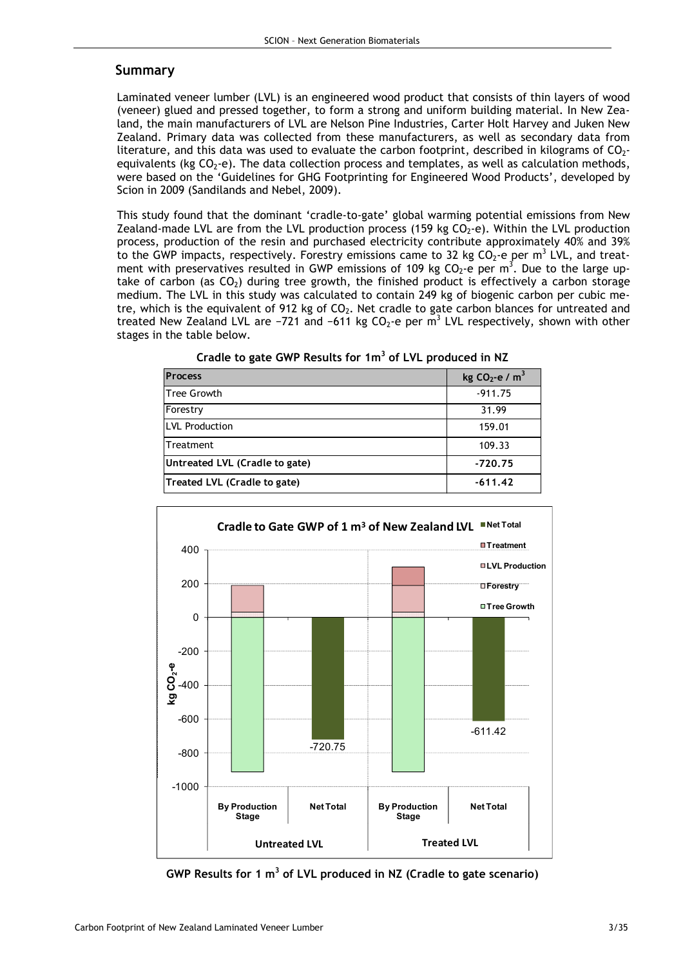## Summary

Laminated veneer lumber (LVL) is an engineered wood product that consists of thin layers of wood (veneer) glued and pressed together, to form a strong and uniform building material. In New Zealand, the main manufacturers of LVL are Nelson Pine Industries, Carter Holt Harvey and Juken New Zealand. Primary data was collected from these manufacturers, as well as secondary data from literature, and this data was used to evaluate the carbon footprint, described in kilograms of  $CO<sub>2</sub>$ equivalents (kg  $CO<sub>2</sub>$ -e). The data collection process and templates, as well as calculation methods, were based on the 'Guidelines for GHG Footprinting for Engineered Wood Products', developed by Scion in 2009 (Sandilands and Nebel, 2009).

This study found that the dominant 'cradle-to-gate' global warming potential emissions from New Zealand-made LVL are from the LVL production process (159 kg  $CO<sub>2</sub>$ -e). Within the LVL production process, production of the resin and purchased electricity contribute approximately 40% and 39% to the GWP impacts, respectively. Forestry emissions came to 32 kg CO<sub>2</sub>-e per m<sup>3</sup> LVL, and treatment with preservatives resulted in GWP emissions of 109 kg CO<sub>2</sub>-e per m<sup>3</sup>. Due to the large uptake of carbon (as  $CO<sub>2</sub>$ ) during tree growth, the finished product is effectively a carbon storage medium. The LVL in this study was calculated to contain 249 kg of biogenic carbon per cubic metre, which is the equivalent of 912 kg of  $CO<sub>2</sub>$ . Net cradle to gate carbon blances for untreated and treated New Zealand LVL are -721 and -611 kg CO<sub>2</sub>-e per m<sup>3</sup> LVL respectively, shown with other stages in the table below.

| <b>Process</b>                 | kg $CO2$ -e / m <sup>3</sup> |
|--------------------------------|------------------------------|
| lTree Growth                   | $-911.75$                    |
| Forestry                       | 31.99                        |
| <b>ILVL Production</b>         | 159.01                       |
| Treatment                      | 109.33                       |
| Untreated LVL (Cradle to gate) | $-720.75$                    |
| Treated LVL (Cradle to gate)   | $-611.42$                    |

Cradle to gate GWP Results for  $1m^3$  of LVL produced in NZ



GWP Results for 1  $m^3$  of LVL produced in NZ (Cradle to gate scenario)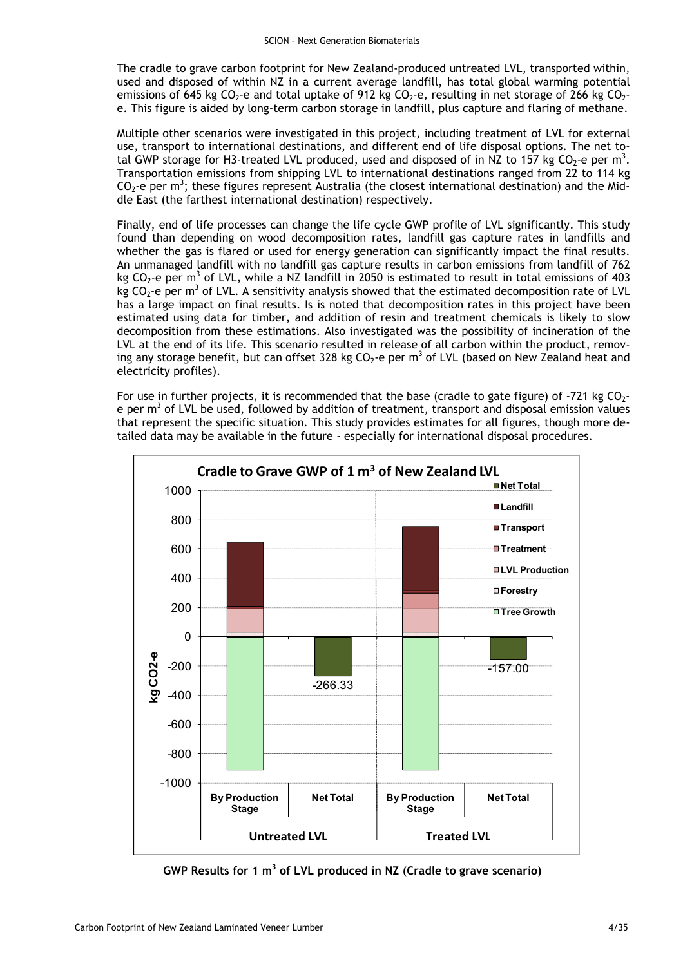The cradle to grave carbon footprint for New Zealand-produced untreated LVL, transported within, used and disposed of within NZ in a current average landfill, has total global warming potential emissions of 645 kg CO<sub>2</sub>-e and total uptake of 912 kg CO<sub>2</sub>-e, resulting in net storage of 266 kg CO<sub>2</sub>e. This figure is aided by long-term carbon storage in landfill, plus capture and flaring of methane.

Multiple other scenarios were investigated in this project, including treatment of LVL for external use, transport to international destinations, and different end of life disposal options. The net total GWP storage for H3-treated LVL produced, used and disposed of in NZ to 157 kg CO<sub>2</sub>-e per m<sup>3</sup>. Transportation emissions from shipping LVL to international destinations ranged from 22 to 114 kg  $CO<sub>2</sub>$ -e per m<sup>3</sup>; these figures represent Australia (the closest international destination) and the Middle East (the farthest international destination) respectively.

Finally, end of life processes can change the life cycle GWP profile of LVL significantly. This study found than depending on wood decomposition rates, landfill gas capture rates in landfills and whether the gas is flared or used for energy generation can significantly impact the final results. An unmanaged landfill with no landfill gas capture results in carbon emissions from landfill of 762 kg CO<sub>2</sub>-e per m<sup>3</sup> of LVL, while a NZ landfill in 2050 is estimated to result in total emissions of 403 kg CO<sub>2</sub>-e per m<sup>3</sup> of LVL. A sensitivity analysis showed that the estimated decomposition rate of LVL has a large impact on final results. Is is noted that decomposition rates in this project have been estimated using data for timber, and addition of resin and treatment chemicals is likely to slow decomposition from these estimations. Also investigated was the possibility of incineration of the LVL at the end of its life. This scenario resulted in release of all carbon within the product, removing any storage benefit, but can offset 328 kg CO<sub>2</sub>-e per m<sup>3</sup> of LVL (based on New Zealand heat and electricity profiles).

For use in further projects, it is recommended that the base (cradle to gate figure) of -721 kg  $CO<sub>2</sub>$ e per m<sup>3</sup> of LVL be used, followed by addition of treatment, transport and disposal emission values that represent the specific situation. This study provides estimates for all figures, though more detailed data may be available in the future - especially for international disposal procedures.



GWP Results for 1  $m^3$  of LVL produced in NZ (Cradle to grave scenario)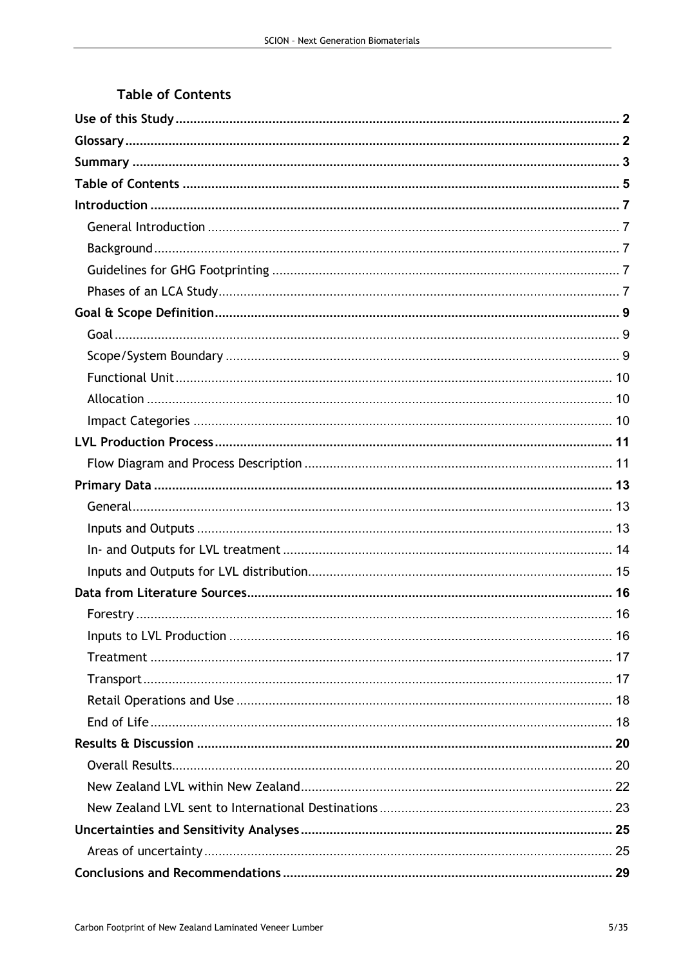# **Table of Contents**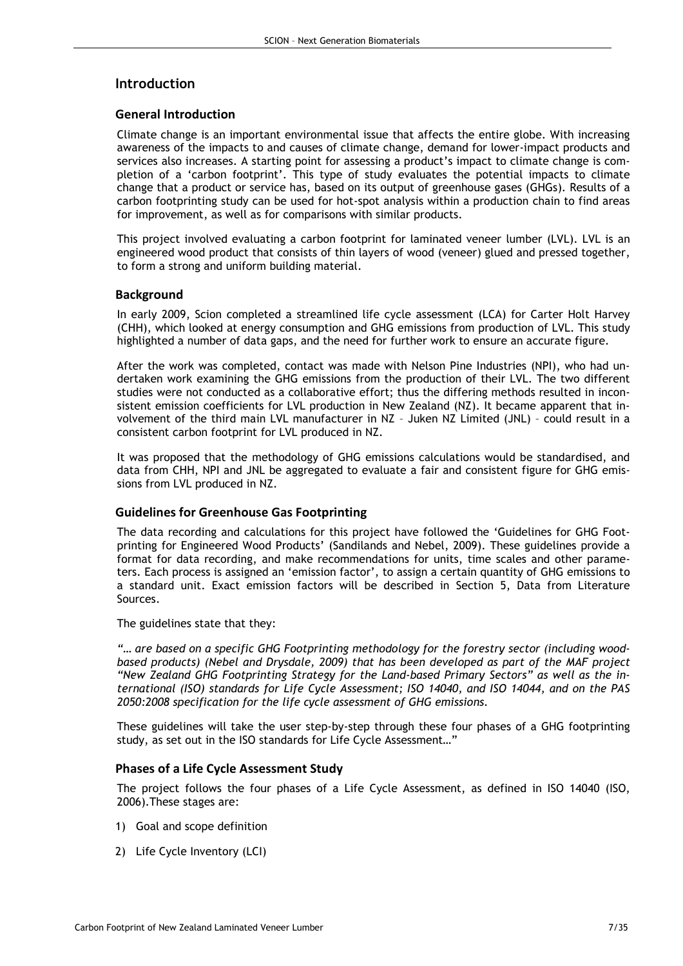## Introduction

#### General Introduction

Climate change is an important environmental issue that affects the entire globe. With increasing awareness of the impacts to and causes of climate change, demand for lower-impact products and services also increases. A starting point for assessing a product's impact to climate change is completion of a 'carbon footprint'. This type of study evaluates the potential impacts to climate change that a product or service has, based on its output of greenhouse gases (GHGs). Results of a carbon footprinting study can be used for hot-spot analysis within a production chain to find areas for improvement, as well as for comparisons with similar products.

This project involved evaluating a carbon footprint for laminated veneer lumber (LVL). LVL is an engineered wood product that consists of thin layers of wood (veneer) glued and pressed together, to form a strong and uniform building material.

#### **Background**

In early 2009, Scion completed a streamlined life cycle assessment (LCA) for Carter Holt Harvey (CHH), which looked at energy consumption and GHG emissions from production of LVL. This study highlighted a number of data gaps, and the need for further work to ensure an accurate figure.

After the work was completed, contact was made with Nelson Pine Industries (NPI), who had undertaken work examining the GHG emissions from the production of their LVL. The two different studies were not conducted as a collaborative effort; thus the differing methods resulted in inconsistent emission coefficients for LVL production in New Zealand (NZ). It became apparent that involvement of the third main LVL manufacturer in NZ – Juken NZ Limited (JNL) – could result in a consistent carbon footprint for LVL produced in NZ.

It was proposed that the methodology of GHG emissions calculations would be standardised, and data from CHH, NPI and JNL be aggregated to evaluate a fair and consistent figure for GHG emissions from LVL produced in NZ.

#### Guidelines for Greenhouse Gas Footprinting

The data recording and calculations for this project have followed the 'Guidelines for GHG Footprinting for Engineered Wood Products' (Sandilands and Nebel, 2009). These guidelines provide a format for data recording, and make recommendations for units, time scales and other parameters. Each process is assigned an 'emission factor', to assign a certain quantity of GHG emissions to a standard unit. Exact emission factors will be described in Section 5, Data from Literature Sources.

The guidelines state that they:

"… are based on a specific GHG Footprinting methodology for the forestry sector (including woodbased products) (Nebel and Drysdale, 2009) that has been developed as part of the MAF project "New Zealand GHG Footprinting Strategy for the Land-based Primary Sectors" as well as the international (ISO) standards for Life Cycle Assessment; ISO 14040, and ISO 14044, and on the PAS 2050:2008 specification for the life cycle assessment of GHG emissions.

These guidelines will take the user step-by-step through these four phases of a GHG footprinting study, as set out in the ISO standards for Life Cycle Assessment…"

#### Phases of a Life Cycle Assessment Study

The project follows the four phases of a Life Cycle Assessment, as defined in ISO 14040 (ISO, 2006).These stages are:

- 1) Goal and scope definition
- 2) Life Cycle Inventory (LCI)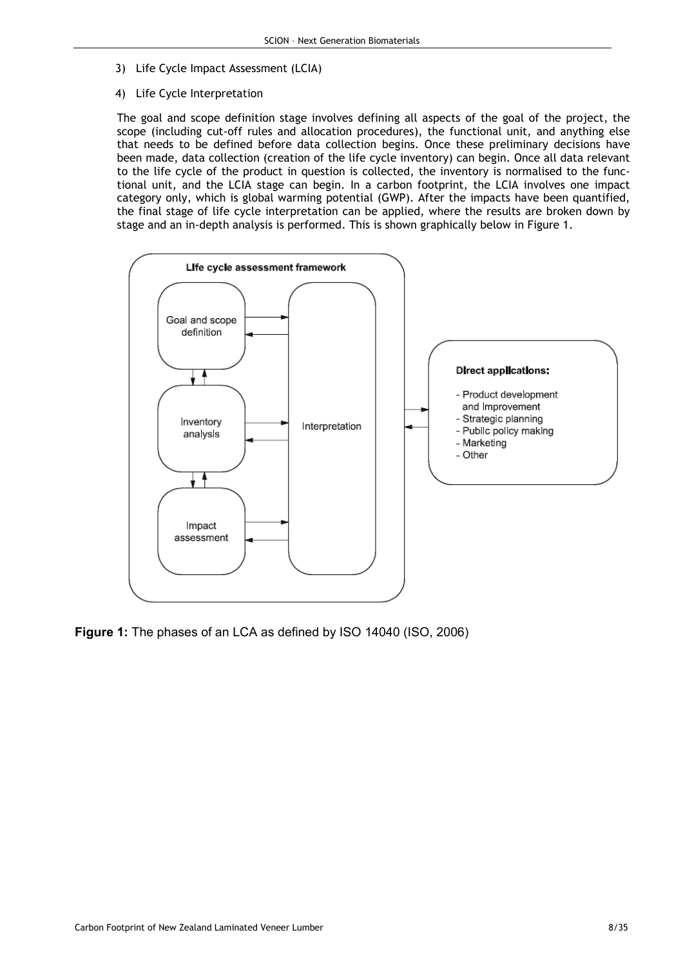- 3) Life Cycle Impact Assessment (LCIA)
- 4) Life Cycle Interpretation

The goal and scope definition stage involves defining all aspects of the goal of the project, the scope (including cut-off rules and allocation procedures), the functional unit, and anything else that needs to be defined before data collection begins. Once these preliminary decisions have been made, data collection (creation of the life cycle inventory) can begin. Once all data relevant to the life cycle of the product in question is collected, the inventory is normalised to the functional unit, and the LCIA stage can begin. In a carbon footprint, the LCIA involves one impact category only, which is global warming potential (GWP). After the impacts have been quantified, the final stage of life cycle interpretation can be applied, where the results are broken down by stage and an in-depth analysis is performed. This is shown graphically below in Figure 1.



Figure 1: The phases of an LCA as defined by ISO 14040 (ISO, 2006)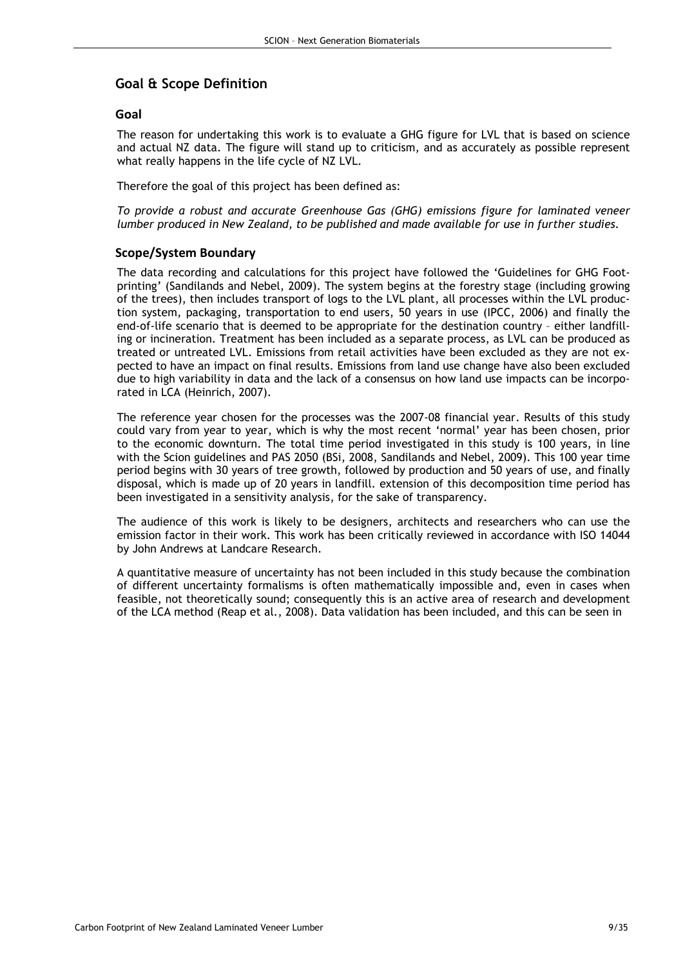## Goal & Scope Definition

#### Goal

The reason for undertaking this work is to evaluate a GHG figure for LVL that is based on science and actual NZ data. The figure will stand up to criticism, and as accurately as possible represent what really happens in the life cycle of NZ LVL.

Therefore the goal of this project has been defined as:

To provide a robust and accurate Greenhouse Gas (GHG) emissions figure for laminated veneer lumber produced in New Zealand, to be published and made available for use in further studies.

#### Scope/System Boundary

The data recording and calculations for this project have followed the 'Guidelines for GHG Footprinting' (Sandilands and Nebel, 2009). The system begins at the forestry stage (including growing of the trees), then includes transport of logs to the LVL plant, all processes within the LVL production system, packaging, transportation to end users, 50 years in use (IPCC, 2006) and finally the end-of-life scenario that is deemed to be appropriate for the destination country – either landfilling or incineration. Treatment has been included as a separate process, as LVL can be produced as treated or untreated LVL. Emissions from retail activities have been excluded as they are not expected to have an impact on final results. Emissions from land use change have also been excluded due to high variability in data and the lack of a consensus on how land use impacts can be incorporated in LCA (Heinrich, 2007).

The reference year chosen for the processes was the 2007-08 financial year. Results of this study could vary from year to year, which is why the most recent 'normal' year has been chosen, prior to the economic downturn. The total time period investigated in this study is 100 years, in line with the Scion guidelines and PAS 2050 (BSi, 2008, Sandilands and Nebel, 2009). This 100 year time period begins with 30 years of tree growth, followed by production and 50 years of use, and finally disposal, which is made up of 20 years in landfill. extension of this decomposition time period has been investigated in a sensitivity analysis, for the sake of transparency.

The audience of this work is likely to be designers, architects and researchers who can use the emission factor in their work. This work has been critically reviewed in accordance with ISO 14044 by John Andrews at Landcare Research.

A quantitative measure of uncertainty has not been included in this study because the combination of different uncertainty formalisms is often mathematically impossible and, even in cases when feasible, not theoretically sound; consequently this is an active area of research and development of the LCA method (Reap et al., 2008). Data validation has been included, and this can be seen in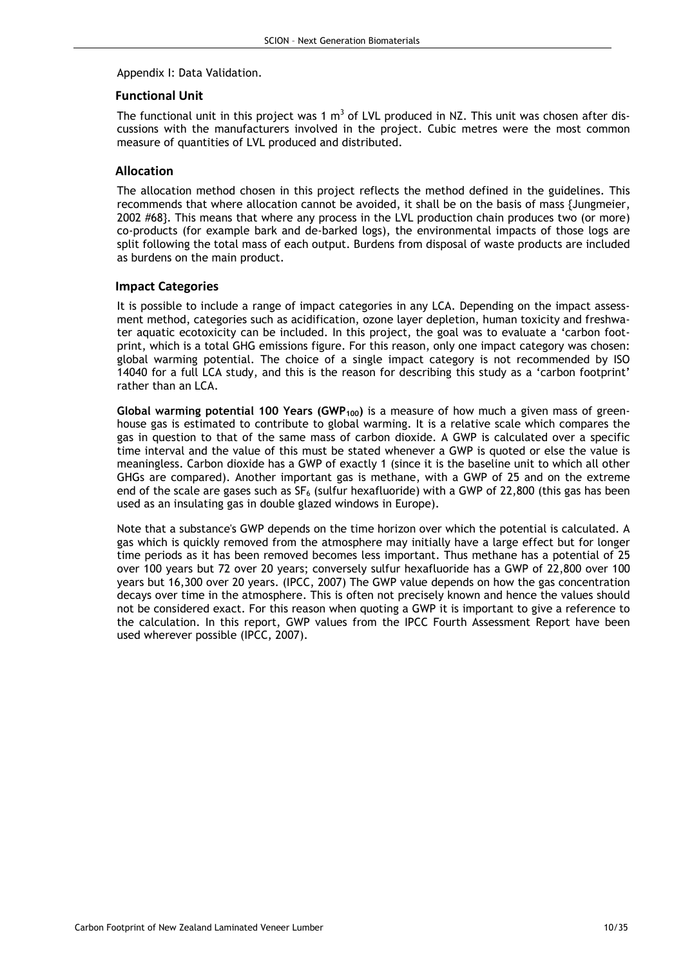Appendix I: Data Validation.

#### Functional Unit

The functional unit in this project was 1  $\text{m}^3$  of LVL produced in NZ. This unit was chosen after discussions with the manufacturers involved in the project. Cubic metres were the most common measure of quantities of LVL produced and distributed.

#### Allocation

The allocation method chosen in this project reflects the method defined in the guidelines. This recommends that where allocation cannot be avoided, it shall be on the basis of mass {Jungmeier, 2002 #68}. This means that where any process in the LVL production chain produces two (or more) co-products (for example bark and de-barked logs), the environmental impacts of those logs are split following the total mass of each output. Burdens from disposal of waste products are included as burdens on the main product.

#### Impact Categories

It is possible to include a range of impact categories in any LCA. Depending on the impact assessment method, categories such as acidification, ozone layer depletion, human toxicity and freshwater aquatic ecotoxicity can be included. In this project, the goal was to evaluate a 'carbon footprint, which is a total GHG emissions figure. For this reason, only one impact category was chosen: global warming potential. The choice of a single impact category is not recommended by ISO 14040 for a full LCA study, and this is the reason for describing this study as a 'carbon footprint' rather than an LCA.

Global warming potential 100 Years (GWP<sub>100</sub>) is a measure of how much a given mass of greenhouse gas is estimated to contribute to global warming. It is a relative scale which compares the gas in question to that of the same mass of carbon dioxide. A GWP is calculated over a specific time interval and the value of this must be stated whenever a GWP is quoted or else the value is meaningless. Carbon dioxide has a GWP of exactly 1 (since it is the baseline unit to which all other GHGs are compared). Another important gas is methane, with a GWP of 25 and on the extreme end of the scale are gases such as  $SF_6$  (sulfur hexafluoride) with a GWP of 22,800 (this gas has been used as an insulating gas in double glazed windows in Europe).

Note that a substance's GWP depends on the time horizon over which the potential is calculated. A gas which is quickly removed from the atmosphere may initially have a large effect but for longer time periods as it has been removed becomes less important. Thus methane has a potential of 25 over 100 years but 72 over 20 years; conversely sulfur hexafluoride has a GWP of 22,800 over 100 years but 16,300 over 20 years. (IPCC, 2007) The GWP value depends on how the gas concentration decays over time in the atmosphere. This is often not precisely known and hence the values should not be considered exact. For this reason when quoting a GWP it is important to give a reference to the calculation. In this report, GWP values from the IPCC Fourth Assessment Report have been used wherever possible (IPCC, 2007).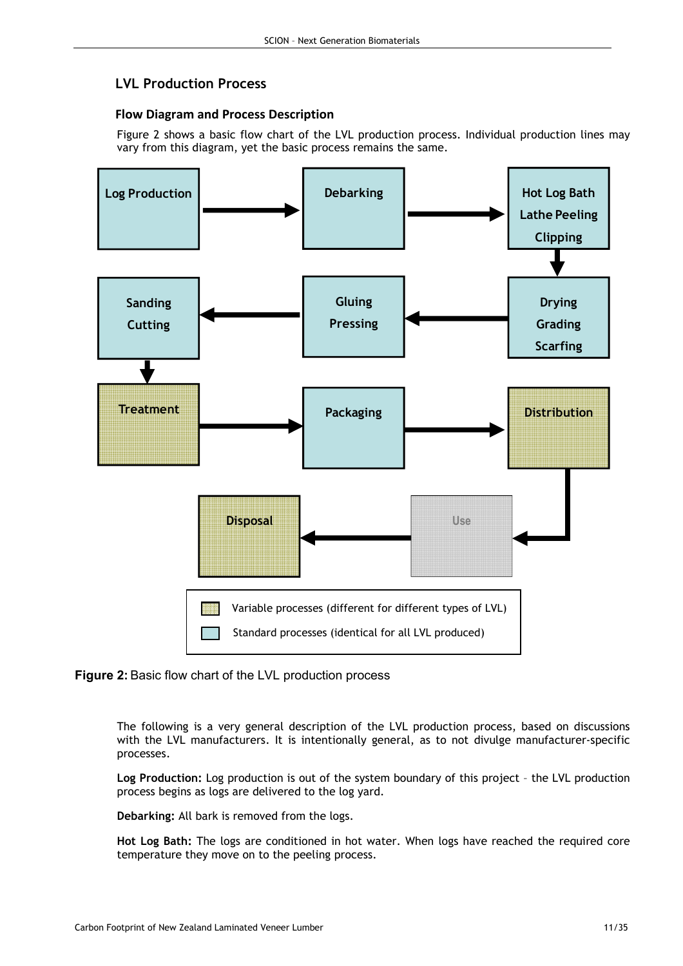# LVL Production Process

## Flow Diagram and Process Description

Figure 2 shows a basic flow chart of the LVL production process. Individual production lines may vary from this diagram, yet the basic process remains the same.



#### Figure 2: Basic flow chart of the LVL production process

The following is a very general description of the LVL production process, based on discussions with the LVL manufacturers. It is intentionally general, as to not divulge manufacturer-specific processes.

Log Production: Log production is out of the system boundary of this project – the LVL production process begins as logs are delivered to the log yard.

Debarking: All bark is removed from the logs.

Hot Log Bath: The logs are conditioned in hot water. When logs have reached the required core temperature they move on to the peeling process.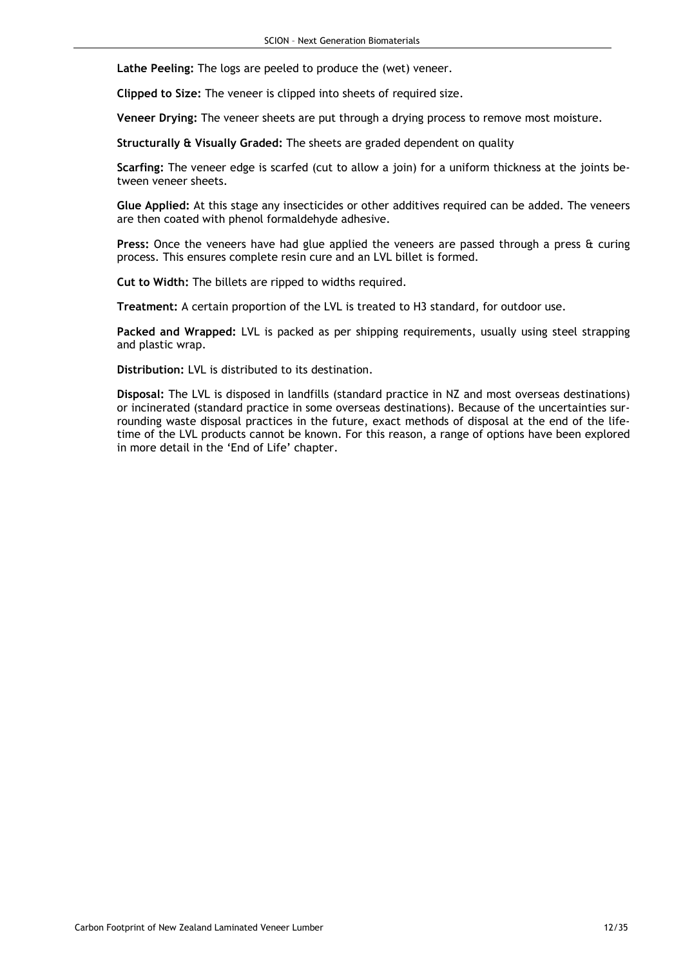Lathe Peeling: The logs are peeled to produce the (wet) veneer.

Clipped to Size: The veneer is clipped into sheets of required size.

Veneer Drying: The veneer sheets are put through a drying process to remove most moisture.

Structurally & Visually Graded: The sheets are graded dependent on quality

Scarfing: The veneer edge is scarfed (cut to allow a join) for a uniform thickness at the joints between veneer sheets.

Glue Applied: At this stage any insecticides or other additives required can be added. The veneers are then coated with phenol formaldehyde adhesive.

Press: Once the veneers have had glue applied the veneers are passed through a press & curing process. This ensures complete resin cure and an LVL billet is formed.

Cut to Width: The billets are ripped to widths required.

Treatment: A certain proportion of the LVL is treated to H3 standard, for outdoor use.

Packed and Wrapped: LVL is packed as per shipping requirements, usually using steel strapping and plastic wrap.

Distribution: LVL is distributed to its destination.

Disposal: The LVL is disposed in landfills (standard practice in NZ and most overseas destinations) or incinerated (standard practice in some overseas destinations). Because of the uncertainties surrounding waste disposal practices in the future, exact methods of disposal at the end of the lifetime of the LVL products cannot be known. For this reason, a range of options have been explored in more detail in the 'End of Life' chapter.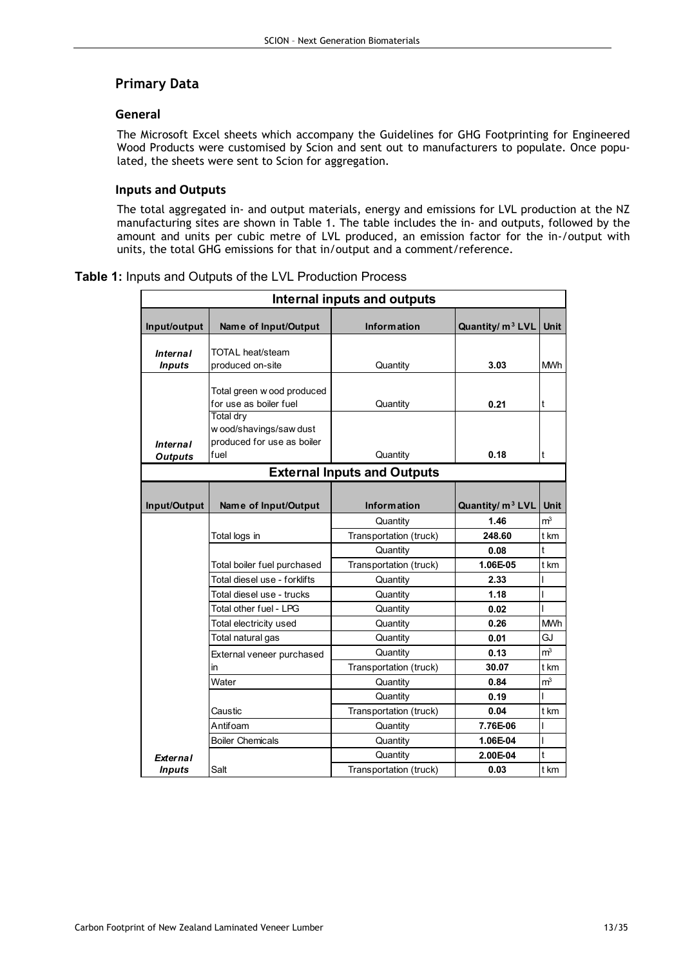## Primary Data

#### General

The Microsoft Excel sheets which accompany the Guidelines for GHG Footprinting for Engineered Wood Products were customised by Scion and sent out to manufacturers to populate. Once populated, the sheets were sent to Scion for aggregation.

### Inputs and Outputs

The total aggregated in- and output materials, energy and emissions for LVL production at the NZ manufacturing sites are shown in Table 1. The table includes the in- and outputs, followed by the amount and units per cubic metre of LVL produced, an emission factor for the in-/output with units, the total GHG emissions for that in/output and a comment/reference.

|  |  | <b>Table 1: Inputs and Outputs of the LVL Production Process</b> |  |  |  |
|--|--|------------------------------------------------------------------|--|--|--|
|--|--|------------------------------------------------------------------|--|--|--|

| Internal inputs and outputs       |                                                                                   |                                    |                              |                |
|-----------------------------------|-----------------------------------------------------------------------------------|------------------------------------|------------------------------|----------------|
| Input/output                      | Name of Input/Output                                                              | <b>Information</b>                 | Quantity/ m <sup>3</sup> LVL | <b>Unit</b>    |
| <b>Internal</b><br><b>Inputs</b>  | TOTAL heat/steam<br>produced on-site                                              | Quantity                           | 3.03                         | <b>MWh</b>     |
|                                   | Total green w ood produced<br>for use as boiler fuel                              | Quantity                           | 0.21                         | t              |
| <b>Internal</b><br><b>Outputs</b> | <b>Total dry</b><br>w ood/shavings/saw dust<br>produced for use as boiler<br>fuel | Quantity                           | 0.18                         | t              |
|                                   |                                                                                   | <b>External Inputs and Outputs</b> |                              |                |
|                                   |                                                                                   |                                    |                              |                |
| Input/Output                      | Name of Input/Output                                                              | <b>Information</b>                 | Quantity/ m <sup>3</sup> LVL | Unit           |
|                                   |                                                                                   | Quantity                           | 1.46                         | m <sup>3</sup> |
|                                   | Total logs in                                                                     | Transportation (truck)             | 248.60                       | t km           |
|                                   |                                                                                   | Quantity                           | 0.08                         | t              |
|                                   | Total boiler fuel purchased                                                       | Transportation (truck)             | 1.06E-05                     | t km           |
|                                   | Total diesel use - forklifts                                                      | Quantity                           | 2.33                         |                |
|                                   | Total diesel use - trucks                                                         | Quantity                           | 1.18                         |                |
|                                   | Total other fuel - LPG                                                            | Quantity                           | 0.02                         |                |
|                                   | Total electricity used                                                            | Quantity                           | 0.26                         | <b>MWh</b>     |
|                                   | Total natural gas                                                                 | Quantity                           | 0.01                         | GJ             |
|                                   | External veneer purchased                                                         | Quantity                           | 0.13                         | m <sup>3</sup> |
|                                   | <i>in</i>                                                                         | Transportation (truck)             | 30.07                        | t km           |
|                                   | Water                                                                             | Quantity                           | 0.84                         | m <sup>3</sup> |
|                                   |                                                                                   | Quantity                           | 0.19                         | ı              |
|                                   | Caustic                                                                           | Transportation (truck)             | 0.04                         | t km           |
|                                   | Antifoam                                                                          | Quantity                           | 7.76E-06                     |                |
|                                   | <b>Boiler Chemicals</b>                                                           | Quantity                           | 1.06E-04                     |                |
| <b>External</b>                   |                                                                                   | Quantity                           | 2.00E-04                     | t              |
| <b>Inputs</b>                     | Salt                                                                              | Transportation (truck)             | 0.03                         | t km           |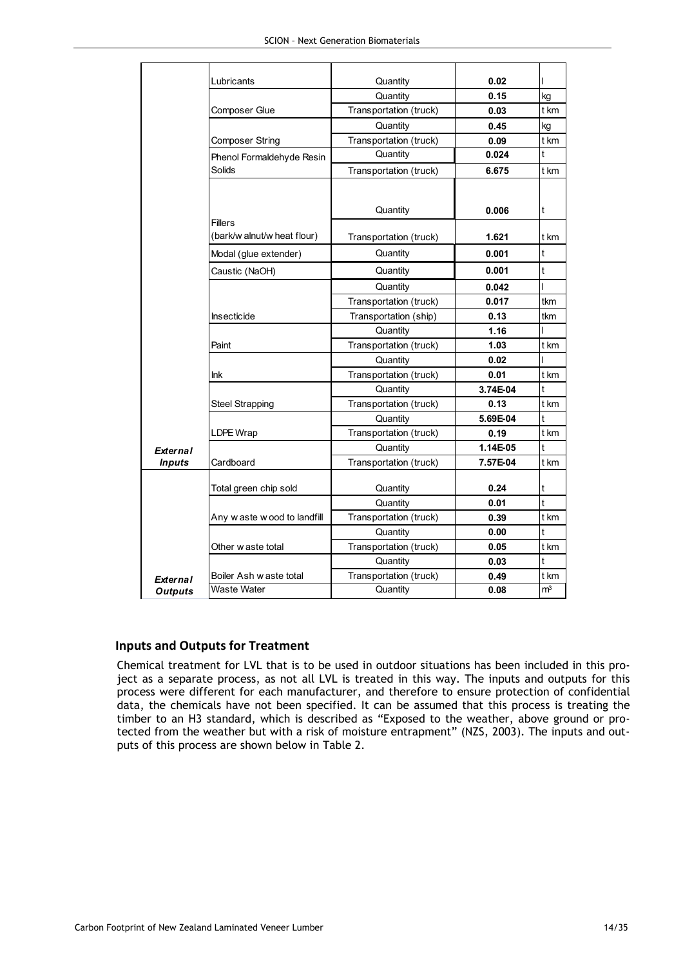|                 | Lubricants                  | Quantity               | 0.02<br>0.15 |                |
|-----------------|-----------------------------|------------------------|--------------|----------------|
|                 |                             | Quantity               |              | kg             |
|                 | Composer Glue               | Transportation (truck) | 0.03         | t km           |
|                 |                             | Quantity               | 0.45         | kg             |
|                 | <b>Composer String</b>      | Transportation (truck) | 0.09         | t km<br>t      |
|                 | Phenol Formaldehyde Resin   | Quantity               | 0.024        |                |
|                 | <b>Solids</b>               | Transportation (truck) | 6.675        | t km           |
|                 |                             |                        |              |                |
|                 |                             | Quantity               | 0.006        | t              |
|                 | <b>Fillers</b>              |                        |              |                |
|                 | (bark/w alnut/w heat flour) | Transportation (truck) | 1.621        | t km           |
|                 | Modal (glue extender)       | Quantity               | 0.001        | t              |
|                 | Caustic (NaOH)              | Quantity               | 0.001        | t              |
|                 |                             | Quantity               | 0.042        | I              |
|                 |                             | Transportation (truck) | 0.017        | tkm            |
|                 | Insecticide                 | Transportation (ship)  | 0.13         | tkm            |
|                 |                             | Quantity               | 1.16         |                |
|                 | Paint                       | Transportation (truck) | 1.03         | t km           |
|                 |                             | Quantity               | 0.02         |                |
|                 | Ink                         | Transportation (truck) | 0.01         | t km           |
|                 |                             | Quantity               | 3.74E-04     | t              |
|                 | <b>Steel Strapping</b>      | Transportation (truck) | 0.13         | t km           |
|                 |                             | Quantity               | 5.69E-04     | t              |
|                 | LDPE Wrap                   | Transportation (truck) | 0.19         | t km           |
| <b>External</b> |                             | Quantity               | 1.14E-05     | t              |
| <b>Inputs</b>   | Cardboard                   | Transportation (truck) | 7.57E-04     | t km           |
|                 |                             |                        |              |                |
|                 | Total green chip sold       | Quantity               | 0.24         | t              |
|                 |                             | Quantity               | 0.01         | t              |
|                 | Any waste wood to landfill  | Transportation (truck) | 0.39         | t km           |
|                 |                             | Quantity               | 0.00         | t              |
|                 | Other w aste total          | Transportation (truck) | 0.05         | t km           |
|                 |                             | Quantity               | 0.03         | t              |
| <b>External</b> | Boiler Ash w aste total     | Transportation (truck) | 0.49         | t km           |
| <b>Outputs</b>  | Waste Water                 | Quantity               | 0.08         | m <sup>3</sup> |

#### Inputs and Outputs for Treatment

Chemical treatment for LVL that is to be used in outdoor situations has been included in this project as a separate process, as not all LVL is treated in this way. The inputs and outputs for this process were different for each manufacturer, and therefore to ensure protection of confidential data, the chemicals have not been specified. It can be assumed that this process is treating the timber to an H3 standard, which is described as "Exposed to the weather, above ground or protected from the weather but with a risk of moisture entrapment" (NZS, 2003). The inputs and outputs of this process are shown below in Table 2.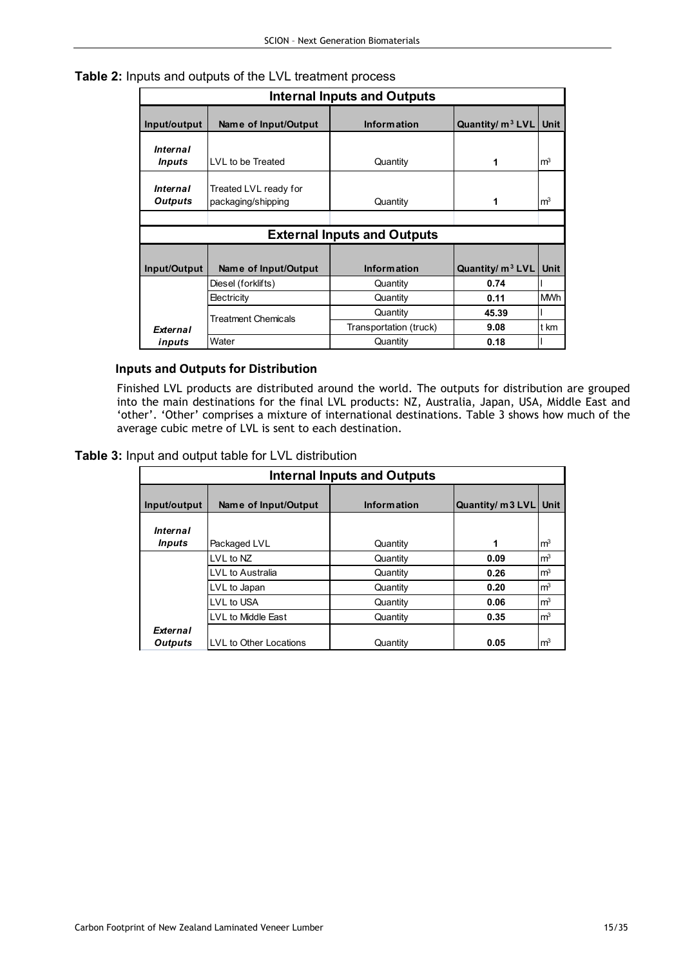|  | <b>Table 2:</b> Inputs and outputs of the LVL treatment process |  |
|--|-----------------------------------------------------------------|--|
|--|-----------------------------------------------------------------|--|

| <b>Internal Inputs and Outputs</b> |                                             |                                    |                     |                |
|------------------------------------|---------------------------------------------|------------------------------------|---------------------|----------------|
| Input/output                       | Name of Input/Output                        | <b>Information</b>                 | Quantity/ $m^3$ LVL | <b>Unit</b>    |
| <b>Internal</b><br><b>Inputs</b>   | LVL to be Treated                           | Quantity                           | 1                   | m <sup>3</sup> |
| <b>Internal</b><br>Outputs         | Treated LVL ready for<br>packaging/shipping | Quantity                           | 1                   | m <sup>3</sup> |
|                                    |                                             |                                    |                     |                |
|                                    |                                             | <b>External Inputs and Outputs</b> |                     |                |
|                                    |                                             |                                    |                     |                |
| Input/Output                       | Name of Input/Output                        | <b>Information</b>                 | Quantity/ $m^3$ LVL | <b>Unit</b>    |
|                                    | Diesel (forklifts)                          | Quantity                           | 0.74                |                |
|                                    | Electricity                                 | Quantity                           | 0.11                | <b>MWh</b>     |
| <b>Treatment Chemicals</b>         |                                             | Quantity                           | 45.39               |                |
| <b>External</b>                    |                                             | Transportation (truck)             | 9.08                | t km           |
| inputs                             | Water                                       | Quantity                           | 0.18                |                |

### Inputs and Outputs for Distribution

Finished LVL products are distributed around the world. The outputs for distribution are grouped into the main destinations for the final LVL products: NZ, Australia, Japan, USA, Middle East and 'other'. 'Other' comprises a mixture of international destinations. Table 3 shows how much of the average cubic metre of LVL is sent to each destination.

Table 3: Input and output table for LVL distribution

| <b>Internal Inputs and Outputs</b>      |                        |                    |                  |                |
|-----------------------------------------|------------------------|--------------------|------------------|----------------|
| Input/output                            | Name of Input/Output   | <b>Information</b> | Quantity/ m3 LVL | <b>Unit</b>    |
| <i><b>Internal</b></i><br><i>Inputs</i> | Packaged LVL           | Quantity           | 1                | m <sup>3</sup> |
|                                         | LVL to NZ              | Quantity           | 0.09             | m <sup>3</sup> |
|                                         | LVL to Australia       | Quantity           | 0.26             | m <sup>3</sup> |
|                                         | LVL to Japan           | Quantity           | 0.20             | m <sup>3</sup> |
|                                         | LVL to USA             | Quantity           | 0.06             | m <sup>3</sup> |
|                                         | LVL to Middle East     | Quantity           | 0.35             | m <sup>3</sup> |
| External<br><b>Outputs</b>              | LVL to Other Locations | Quantity           | 0.05             | m <sup>3</sup> |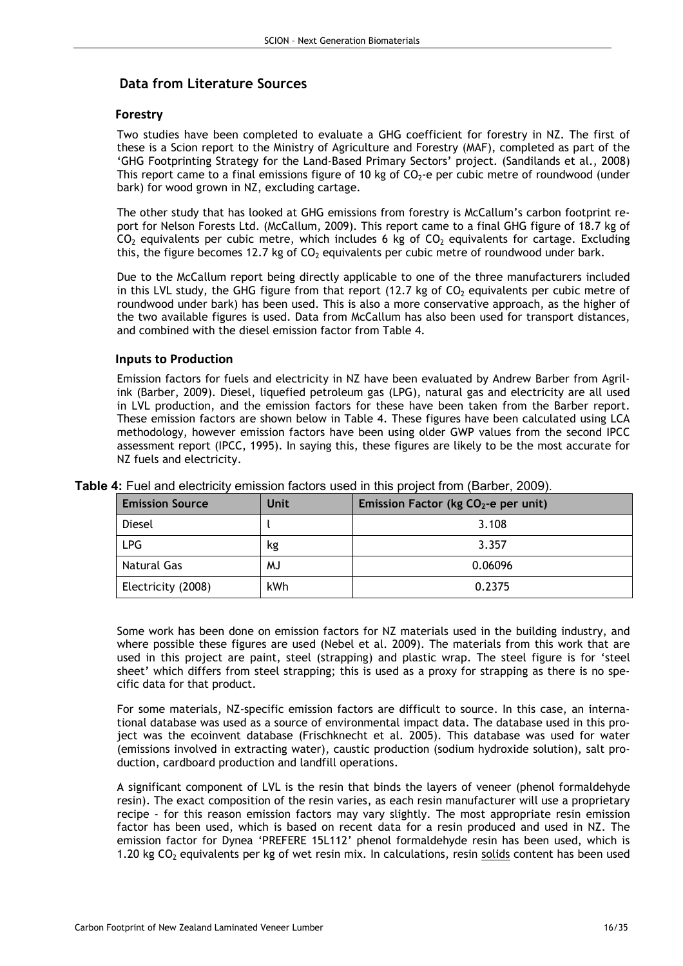# Data from Literature Sources

### Forestry

Two studies have been completed to evaluate a GHG coefficient for forestry in NZ. The first of these is a Scion report to the Ministry of Agriculture and Forestry (MAF), completed as part of the 'GHG Footprinting Strategy for the Land-Based Primary Sectors' project. (Sandilands et al., 2008) This report came to a final emissions figure of 10 kg of  $CO<sub>2</sub>$ -e per cubic metre of roundwood (under bark) for wood grown in NZ, excluding cartage.

The other study that has looked at GHG emissions from forestry is McCallum's carbon footprint report for Nelson Forests Ltd. (McCallum, 2009). This report came to a final GHG figure of 18.7 kg of  $CO<sub>2</sub>$  equivalents per cubic metre, which includes 6 kg of  $CO<sub>2</sub>$  equivalents for cartage. Excluding this, the figure becomes 12.7 kg of  $CO<sub>2</sub>$  equivalents per cubic metre of roundwood under bark.

Due to the McCallum report being directly applicable to one of the three manufacturers included in this LVL study, the GHG figure from that report (12.7 kg of  $CO<sub>2</sub>$  equivalents per cubic metre of roundwood under bark) has been used. This is also a more conservative approach, as the higher of the two available figures is used. Data from McCallum has also been used for transport distances, and combined with the diesel emission factor from Table 4.

#### Inputs to Production

Emission factors for fuels and electricity in NZ have been evaluated by Andrew Barber from Agrilink (Barber, 2009). Diesel, liquefied petroleum gas (LPG), natural gas and electricity are all used in LVL production, and the emission factors for these have been taken from the Barber report. These emission factors are shown below in Table 4. These figures have been calculated using LCA methodology, however emission factors have been using older GWP values from the second IPCC assessment report (IPCC, 1995). In saying this, these figures are likely to be the most accurate for NZ fuels and electricity.

| <b>Emission Source</b> | <b>Unit</b> | Emission Factor (kg $CO2$ -e per unit) |
|------------------------|-------------|----------------------------------------|
| Diesel                 |             | 3.108                                  |
| LPG                    | kg          | 3.357                                  |
| Natural Gas            | ΜJ          | 0.06096                                |
| Electricity (2008)     | kWh         | 0.2375                                 |

Table 4: Fuel and electricity emission factors used in this project from (Barber, 2009).

Some work has been done on emission factors for NZ materials used in the building industry, and where possible these figures are used (Nebel et al. 2009). The materials from this work that are used in this project are paint, steel (strapping) and plastic wrap. The steel figure is for 'steel sheet' which differs from steel strapping; this is used as a proxy for strapping as there is no specific data for that product.

For some materials, NZ-specific emission factors are difficult to source. In this case, an international database was used as a source of environmental impact data. The database used in this project was the ecoinvent database (Frischknecht et al. 2005). This database was used for water (emissions involved in extracting water), caustic production (sodium hydroxide solution), salt production, cardboard production and landfill operations.

A significant component of LVL is the resin that binds the layers of veneer (phenol formaldehyde resin). The exact composition of the resin varies, as each resin manufacturer will use a proprietary recipe - for this reason emission factors may vary slightly. The most appropriate resin emission factor has been used, which is based on recent data for a resin produced and used in NZ. The emission factor for Dynea 'PREFERE 15L112' phenol formaldehyde resin has been used, which is 1.20 kg CO<sub>2</sub> equivalents per kg of wet resin mix. In calculations, resin solids content has been used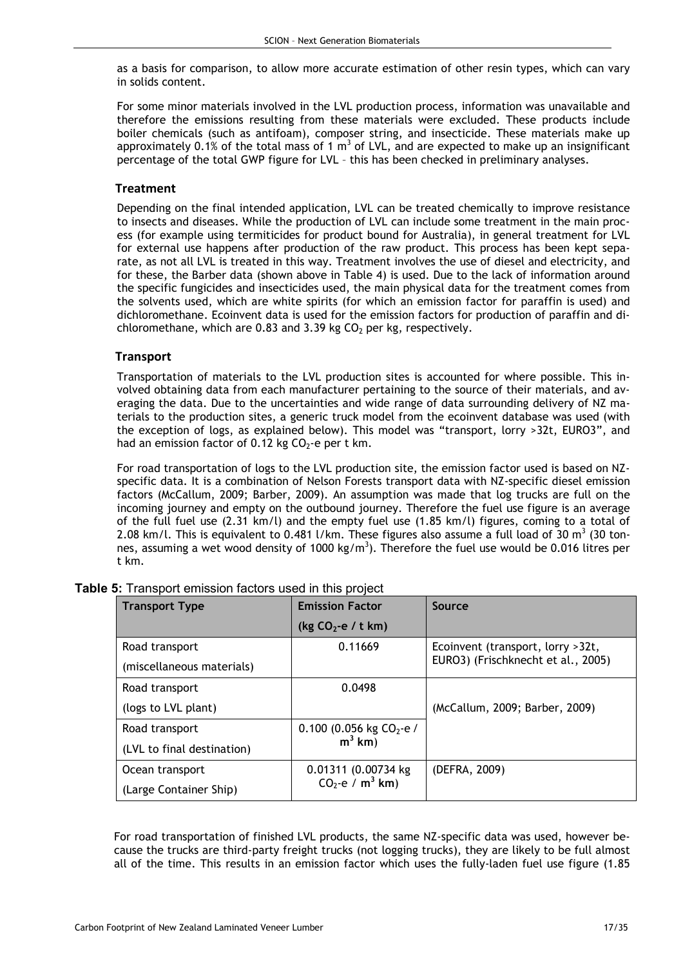as a basis for comparison, to allow more accurate estimation of other resin types, which can vary in solids content.

For some minor materials involved in the LVL production process, information was unavailable and therefore the emissions resulting from these materials were excluded. These products include boiler chemicals (such as antifoam), composer string, and insecticide. These materials make up approximately 0.1% of the total mass of 1  $m^3$  of LVL, and are expected to make up an insignificant percentage of the total GWP figure for LVL – this has been checked in preliminary analyses.

#### **Treatment**

Depending on the final intended application, LVL can be treated chemically to improve resistance to insects and diseases. While the production of LVL can include some treatment in the main process (for example using termiticides for product bound for Australia), in general treatment for LVL for external use happens after production of the raw product. This process has been kept separate, as not all LVL is treated in this way. Treatment involves the use of diesel and electricity, and for these, the Barber data (shown above in Table 4) is used. Due to the lack of information around the specific fungicides and insecticides used, the main physical data for the treatment comes from the solvents used, which are white spirits (for which an emission factor for paraffin is used) and dichloromethane. Ecoinvent data is used for the emission factors for production of paraffin and dichloromethane, which are 0.83 and 3.39 kg  $CO<sub>2</sub>$  per kg, respectively.

### **Transport**

Transportation of materials to the LVL production sites is accounted for where possible. This involved obtaining data from each manufacturer pertaining to the source of their materials, and averaging the data. Due to the uncertainties and wide range of data surrounding delivery of NZ materials to the production sites, a generic truck model from the ecoinvent database was used (with the exception of logs, as explained below). This model was "transport, lorry >32t, EURO3", and had an emission factor of 0.12 kg  $CO<sub>2</sub>$ -e per t km.

For road transportation of logs to the LVL production site, the emission factor used is based on NZspecific data. It is a combination of Nelson Forests transport data with NZ-specific diesel emission factors (McCallum, 2009; Barber, 2009). An assumption was made that log trucks are full on the incoming journey and empty on the outbound journey. Therefore the fuel use figure is an average of the full fuel use (2.31 km/l) and the empty fuel use (1.85 km/l) figures, coming to a total of 2.08 km/l. This is equivalent to 0.481 l/km. These figures also assume a full load of 30 m<sup>3</sup> (30 tonnes, assuming a wet wood density of 1000 kg/m<sup>3</sup>). Therefore the fuel use would be 0.016 litres per t km.

| <b>Transport Type</b>      | <b>Emission Factor</b>         | Source                             |
|----------------------------|--------------------------------|------------------------------------|
|                            | (kg $CO2$ -e / t km)           |                                    |
| Road transport             | 0.11669                        | Ecoinvent (transport, lorry > 32t, |
| (miscellaneous materials)  |                                | EURO3) (Frischknecht et al., 2005) |
| Road transport             | 0.0498                         |                                    |
| (logs to LVL plant)        |                                | (McCallum, 2009; Barber, 2009)     |
| Road transport             | 0.100 (0.056 kg $CO2$ -e /     |                                    |
| (LVL to final destination) | $m3$ km)                       |                                    |
| Ocean transport            | 0.01311 (0.00734 kg            | (DEFRA, 2009)                      |
| (Large Container Ship)     | $CO_2$ -e / m <sup>3</sup> km) |                                    |

|  |  |  | Table 5: Transport emission factors used in this project |  |  |  |  |  |  |
|--|--|--|----------------------------------------------------------|--|--|--|--|--|--|
|--|--|--|----------------------------------------------------------|--|--|--|--|--|--|

For road transportation of finished LVL products, the same NZ-specific data was used, however because the trucks are third-party freight trucks (not logging trucks), they are likely to be full almost all of the time. This results in an emission factor which uses the fully-laden fuel use figure (1.85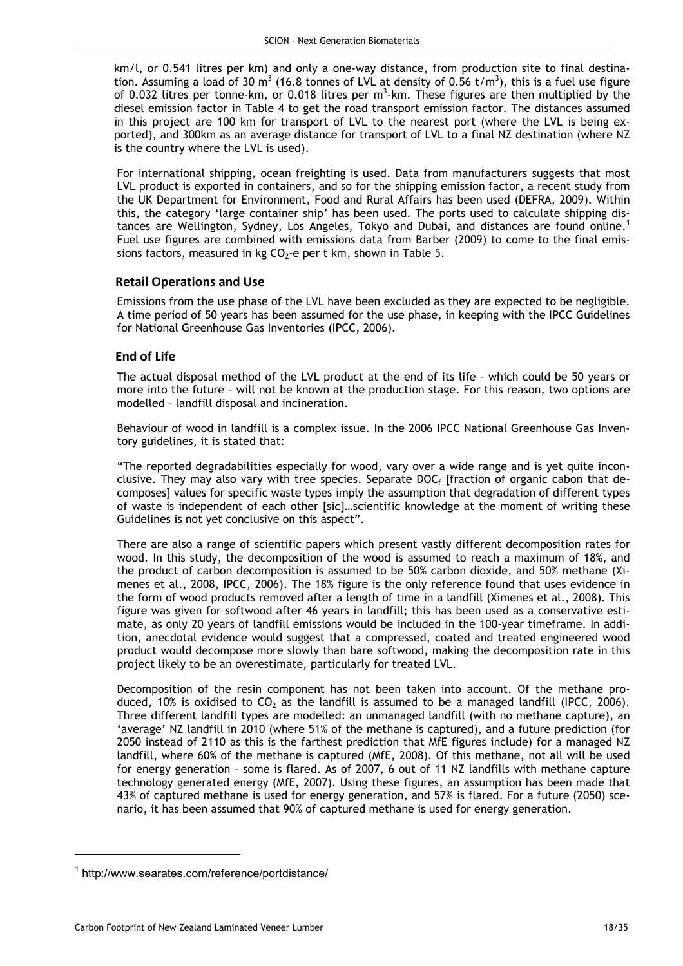km/l, or 0.541 litres per km) and only a one-way distance, from production site to final destination. Assuming a load of 30 m<sup>3</sup> (16.8 tonnes of LVL at density of 0.56 t/m<sup>3</sup>), this is a fuel use figure of 0.032 litres per tonne-km, or 0.018 litres per  $m^3$ -km. These figures are then multiplied by the diesel emission factor in Table 4 to get the road transport emission factor. The distances assumed in this project are 100 km for transport of LVL to the nearest port (where the LVL is being exported), and 300km as an average distance for transport of LVL to a final NZ destination (where NZ is the country where the LVL is used).

For international shipping, ocean freighting is used. Data from manufacturers suggests that most LVL product is exported in containers, and so for the shipping emission factor, a recent study from the UK Department for Environment, Food and Rural Affairs has been used (DEFRA, 2009). Within this, the category 'large container ship' has been used. The ports used to calculate shipping distances are Wellington, Sydney, Los Angeles, Tokyo and Dubai, and distances are found online.<sup>1</sup> Fuel use figures are combined with emissions data from Barber (2009) to come to the final emissions factors, measured in kg  $CO<sub>2</sub>$ -e per t km, shown in Table 5.

#### Retail Operations and Use

Emissions from the use phase of the LVL have been excluded as they are expected to be negligible. A time period of 50 years has been assumed for the use phase, in keeping with the IPCC Guidelines for National Greenhouse Gas Inventories (IPCC, 2006).

### End of Life

The actual disposal method of the LVL product at the end of its life – which could be 50 years or more into the future – will not be known at the production stage. For this reason, two options are modelled – landfill disposal and incineration.

Behaviour of wood in landfill is a complex issue. In the 2006 IPCC National Greenhouse Gas Inventory guidelines, it is stated that:

"The reported degradabilities especially for wood, vary over a wide range and is yet quite inconclusive. They may also vary with tree species. Separate DOC<sub>f</sub> [fraction of organic cabon that decomposes] values for specific waste types imply the assumption that degradation of different types of waste is independent of each other [sic]…scientific knowledge at the moment of writing these Guidelines is not yet conclusive on this aspect".

There are also a range of scientific papers which present vastly different decomposition rates for wood. In this study, the decomposition of the wood is assumed to reach a maximum of 18%, and the product of carbon decomposition is assumed to be 50% carbon dioxide, and 50% methane (Ximenes et al., 2008, IPCC, 2006). The 18% figure is the only reference found that uses evidence in the form of wood products removed after a length of time in a landfill (Ximenes et al., 2008). This figure was given for softwood after 46 years in landfill; this has been used as a conservative estimate, as only 20 years of landfill emissions would be included in the 100-year timeframe. In addition, anecdotal evidence would suggest that a compressed, coated and treated engineered wood product would decompose more slowly than bare softwood, making the decomposition rate in this project likely to be an overestimate, particularly for treated LVL.

Decomposition of the resin component has not been taken into account. Of the methane produced, 10% is oxidised to  $CO<sub>2</sub>$  as the landfill is assumed to be a managed landfill (IPCC, 2006). Three different landfill types are modelled: an unmanaged landfill (with no methane capture), an 'average' NZ landfill in 2010 (where 51% of the methane is captured), and a future prediction (for 2050 instead of 2110 as this is the farthest prediction that MfE figures include) for a managed NZ landfill, where 60% of the methane is captured (MfE, 2008). Of this methane, not all will be used for energy generation – some is flared. As of 2007, 6 out of 11 NZ landfills with methane capture technology generated energy (MfE, 2007). Using these figures, an assumption has been made that 43% of captured methane is used for energy generation, and 57% is flared. For a future (2050) scenario, it has been assumed that 90% of captured methane is used for energy generation.

 $\overline{a}$ 

<sup>1</sup> http://www.searates.com/reference/portdistance/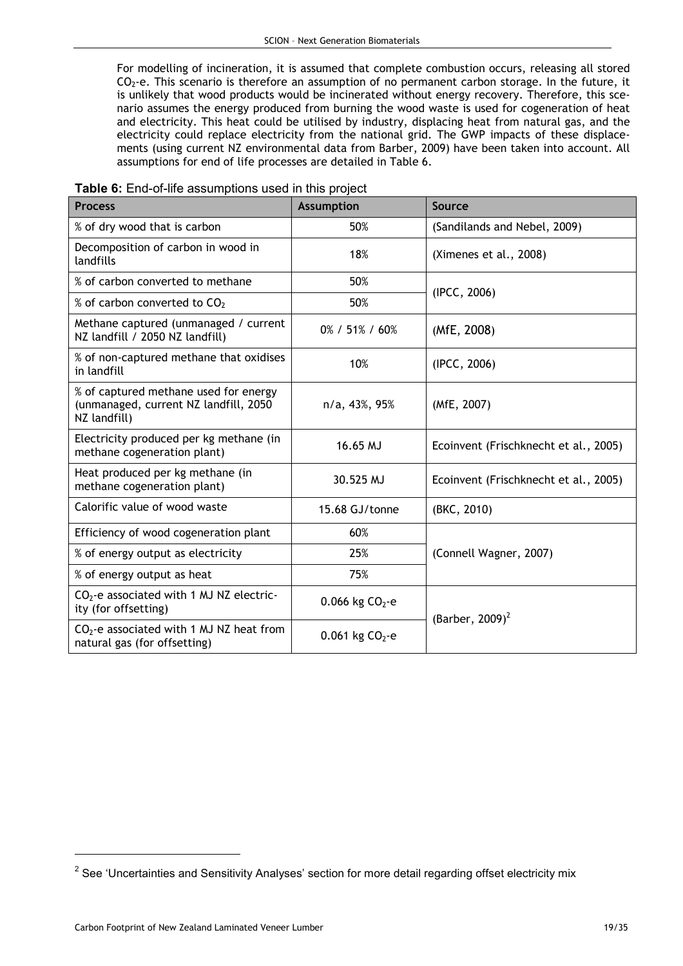For modelling of incineration, it is assumed that complete combustion occurs, releasing all stored  $CO<sub>2</sub>$ -e. This scenario is therefore an assumption of no permanent carbon storage. In the future, it is unlikely that wood products would be incinerated without energy recovery. Therefore, this scenario assumes the energy produced from burning the wood waste is used for cogeneration of heat and electricity. This heat could be utilised by industry, displacing heat from natural gas, and the electricity could replace electricity from the national grid. The GWP impacts of these displacements (using current NZ environmental data from Barber, 2009) have been taken into account. All assumptions for end of life processes are detailed in Table 6.

| Table 6: End-of-life assumptions used in this project |  |  |  |
|-------------------------------------------------------|--|--|--|
|-------------------------------------------------------|--|--|--|

| <b>Process</b>                                                                                  | <b>Assumption</b>    | Source                                |
|-------------------------------------------------------------------------------------------------|----------------------|---------------------------------------|
| % of dry wood that is carbon                                                                    | 50%                  | (Sandilands and Nebel, 2009)          |
| Decomposition of carbon in wood in<br>landfills                                                 | 18%                  | (Ximenes et al., 2008)                |
| % of carbon converted to methane                                                                | 50%                  | (IPCC, 2006)                          |
| % of carbon converted to CO <sub>2</sub>                                                        | 50%                  |                                       |
| Methane captured (unmanaged / current<br>NZ landfill / 2050 NZ landfill)                        | 0% / 51% / 60%       | (MfE, 2008)                           |
| % of non-captured methane that oxidises<br>in landfill                                          | 10%                  | (IPCC, 2006)                          |
| % of captured methane used for energy<br>(unmanaged, current NZ landfill, 2050)<br>NZ landfill) | n/a, 43%, 95%        | (MfE, 2007)                           |
| Electricity produced per kg methane (in<br>methane cogeneration plant)                          | 16.65 MJ             | Ecoinvent (Frischknecht et al., 2005) |
| Heat produced per kg methane (in<br>methane cogeneration plant)                                 | 30.525 MJ            | Ecoinvent (Frischknecht et al., 2005) |
| Calorific value of wood waste                                                                   | 15.68 GJ/tonne       | (BKC, 2010)                           |
| Efficiency of wood cogeneration plant                                                           | 60%                  |                                       |
| % of energy output as electricity                                                               | 25%                  | (Connell Wagner, 2007)                |
| % of energy output as heat                                                                      | 75%                  |                                       |
| $CO2$ -e associated with 1 MJ NZ electric-<br>ity (for offsetting)                              | 0.066 kg $CO2$ -e    | (Barber, 2009) <sup>2</sup>           |
| $CO2$ -e associated with 1 MJ NZ heat from<br>natural gas (for offsetting)                      | $0.061$ kg $CO2 - e$ |                                       |

 $\overline{a}$ 

 $2$  See 'Uncertainties and Sensitivity Analyses' section for more detail regarding offset electricity mix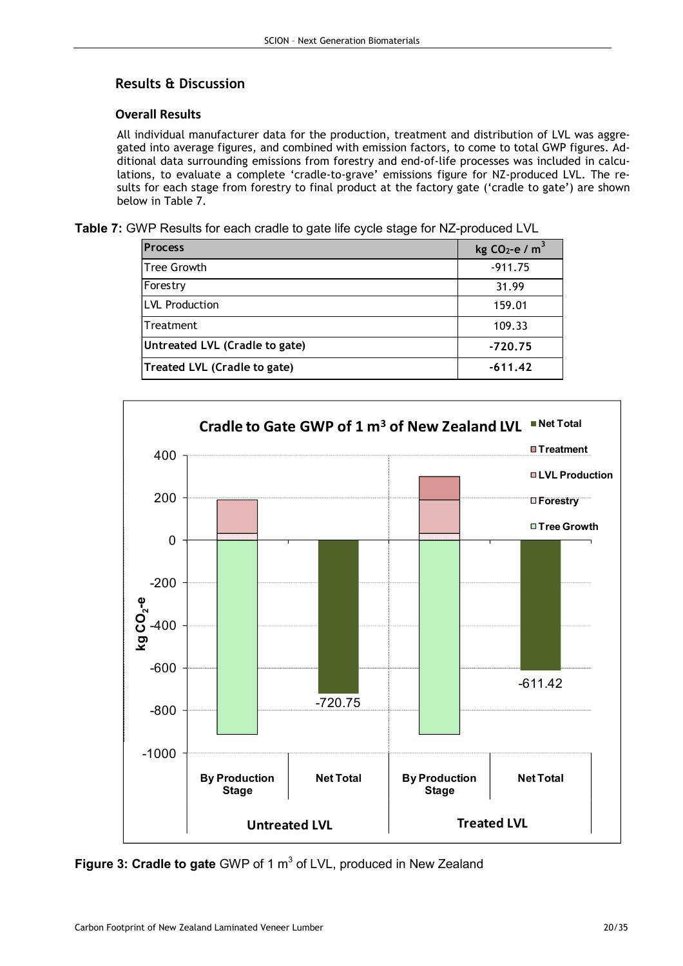# Results & Discussion

## Overall Results

All individual manufacturer data for the production, treatment and distribution of LVL was aggregated into average figures, and combined with emission factors, to come to total GWP figures. Additional data surrounding emissions from forestry and end-of-life processes was included in calculations, to evaluate a complete 'cradle-to-grave' emissions figure for NZ-produced LVL. The results for each stage from forestry to final product at the factory gate ('cradle to gate') are shown below in Table 7.

Table 7: GWP Results for each cradle to gate life cycle stage for NZ-produced LVL

| <b>Process</b>                 | kg $CO2$ -e / m <sup>3</sup> |
|--------------------------------|------------------------------|
| Tree Growth                    | $-911.75$                    |
| Forestry                       | 31.99                        |
| <b>LVL Production</b>          | 159.01                       |
| Treatment                      | 109.33                       |
| Untreated LVL (Cradle to gate) | $-720.75$                    |
| Treated LVL (Cradle to gate)   | $-611.42$                    |



Figure 3: Cradle to gate GWP of 1  $m^3$  of LVL, produced in New Zealand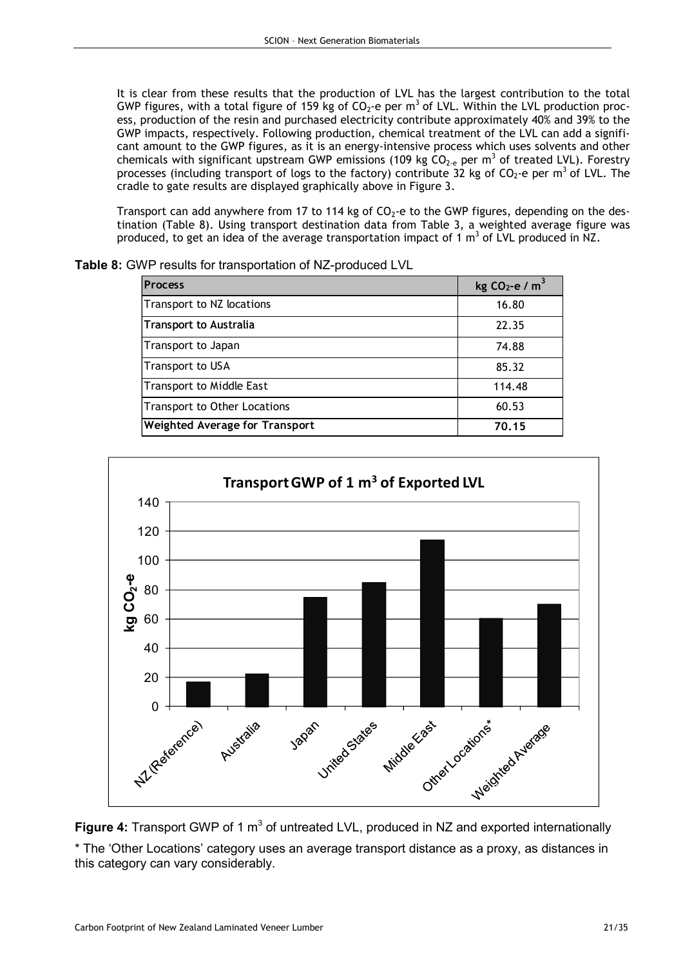It is clear from these results that the production of LVL has the largest contribution to the total GWP figures, with a total figure of 159 kg of  $CO_2$ -e per m<sup>3</sup> of LVL. Within the LVL production process, production of the resin and purchased electricity contribute approximately 40% and 39% to the GWP impacts, respectively. Following production, chemical treatment of the LVL can add a significant amount to the GWP figures, as it is an energy-intensive process which uses solvents and other chemicals with significant upstream GWP emissions (109 kg  $CO_{2-e}$  per m<sup>3</sup> of treated LVL). Forestry processes (including transport of logs to the factory) contribute 32 kg of CO<sub>2</sub>-e per m<sup>3</sup> of LVL. The cradle to gate results are displayed graphically above in Figure 3.

Transport can add anywhere from 17 to 114 kg of  $CO<sub>2</sub>$ -e to the GWP figures, depending on the destination (Table 8). Using transport destination data from Table 3, a weighted average figure was produced, to get an idea of the average transportation impact of 1  $m^3$  of LVL produced in NZ.

| <b>Process</b>                      | kg CO <sub>2</sub> -e / $m3$ |
|-------------------------------------|------------------------------|
| Transport to NZ locations           | 16.80                        |
| <b>Transport to Australia</b>       | 22.35                        |
| Transport to Japan                  | 74.88                        |
| Transport to USA                    | 85.32                        |
| <b>Transport to Middle East</b>     | 114.48                       |
| <b>Transport to Other Locations</b> | 60.53                        |
| Weighted Average for Transport      | 70.15                        |

Table 8: GWP results for transportation of NZ-produced LVL



Figure 4: Transport GWP of 1  $m<sup>3</sup>$  of untreated LVL, produced in NZ and exported internationally \* The 'Other Locations' category uses an average transport distance as a proxy, as distances in this category can vary considerably.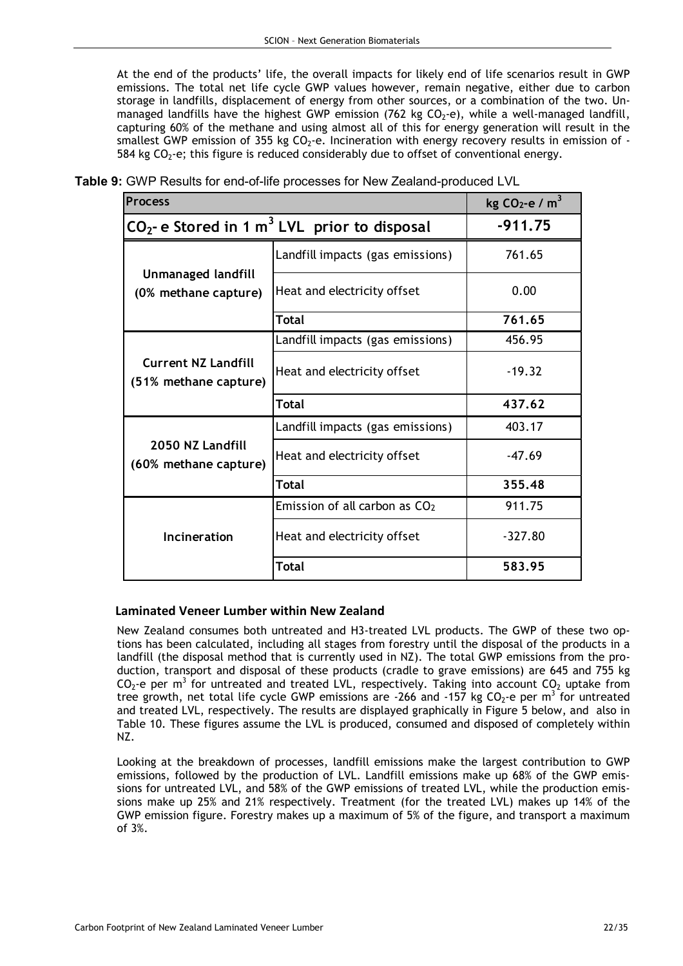At the end of the products' life, the overall impacts for likely end of life scenarios result in GWP emissions. The total net life cycle GWP values however, remain negative, either due to carbon storage in landfills, displacement of energy from other sources, or a combination of the two. Unmanaged landfills have the highest GWP emission (762 kg CO<sub>2</sub>-e), while a well-managed landfill, capturing 60% of the methane and using almost all of this for energy generation will result in the smallest GWP emission of 355 kg  $CO<sub>2</sub>$ -e. Incineration with energy recovery results in emission of -584 kg  $CO<sub>2</sub>$ -e; this figure is reduced considerably due to offset of conventional energy.

| <b>Process</b>                                             | kg $CO2$ -e / m <sup>3</sup>     |           |
|------------------------------------------------------------|----------------------------------|-----------|
| $CO2$ - e Stored in 1 m <sup>3</sup> LVL prior to disposal | $-911.75$                        |           |
|                                                            | Landfill impacts (gas emissions) | 761.65    |
| <b>Unmanaged landfill</b><br>(0% methane capture)          | Heat and electricity offset      | 0.00      |
|                                                            | <b>Total</b>                     | 761.65    |
|                                                            | Landfill impacts (gas emissions) | 456.95    |
| <b>Current NZ Landfill</b><br>(51% methane capture)        | Heat and electricity offset      | $-19.32$  |
|                                                            | <b>Total</b>                     | 437.62    |
|                                                            | Landfill impacts (gas emissions) | 403.17    |
| 2050 NZ Landfill<br>(60% methane capture)                  | Heat and electricity offset      | $-47.69$  |
|                                                            | Total                            | 355.48    |
|                                                            | Emission of all carbon as $CO2$  | 911.75    |
| Incineration                                               | Heat and electricity offset      | $-327.80$ |
|                                                            | <b>Total</b>                     | 583.95    |

Table 9: GWP Results for end-of-life processes for New Zealand-produced LVL

#### Laminated Veneer Lumber within New Zealand

New Zealand consumes both untreated and H3-treated LVL products. The GWP of these two options has been calculated, including all stages from forestry until the disposal of the products in a landfill (the disposal method that is currently used in NZ). The total GWP emissions from the production, transport and disposal of these products (cradle to grave emissions) are 645 and 755 kg  $CO_2$ -e per m<sup>3</sup> for untreated and treated LVL, respectively. Taking into account  $CO_2$  uptake from tree growth, net total life cycle GWP emissions are -266 and -157 kg CO<sub>2</sub>-e per m<sup>3</sup> for untreated and treated LVL, respectively. The results are displayed graphically in Figure 5 below, and also in Table 10. These figures assume the LVL is produced, consumed and disposed of completely within NZ.

Looking at the breakdown of processes, landfill emissions make the largest contribution to GWP emissions, followed by the production of LVL. Landfill emissions make up 68% of the GWP emissions for untreated LVL, and 58% of the GWP emissions of treated LVL, while the production emissions make up 25% and 21% respectively. Treatment (for the treated LVL) makes up 14% of the GWP emission figure. Forestry makes up a maximum of 5% of the figure, and transport a maximum of 3%.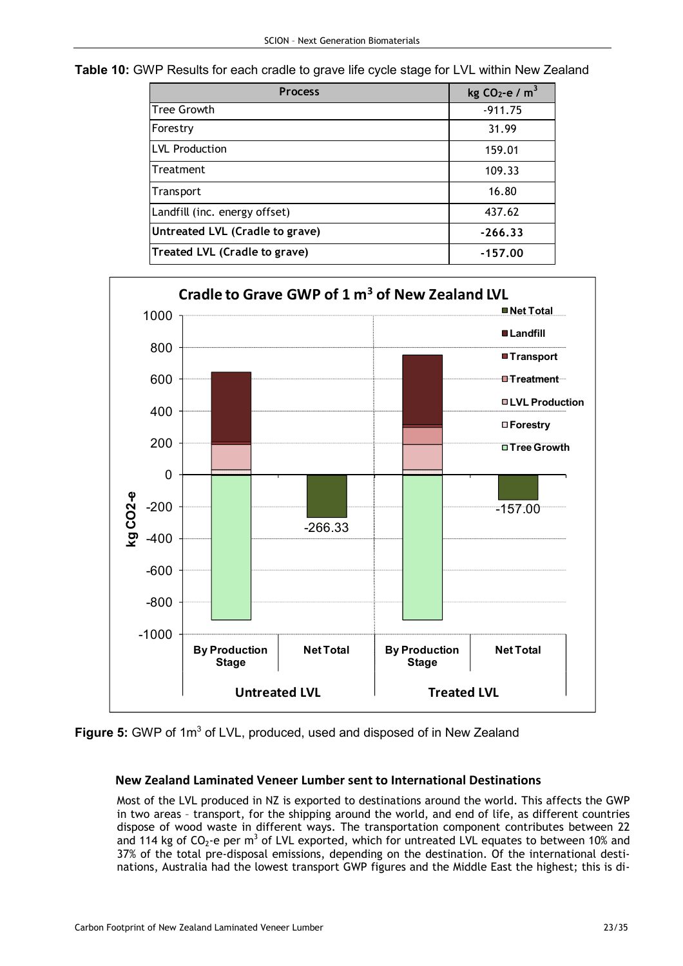Table 10: GWP Results for each cradle to grave life cycle stage for LVL within New Zealand

| <b>Process</b>                  | kg CO <sub>2</sub> -e / $m^3$ |
|---------------------------------|-------------------------------|
| <b>Tree Growth</b>              | $-911.75$                     |
| Forestry                        | 31.99                         |
| <b>LVL Production</b>           | 159.01                        |
| Treatment                       | 109.33                        |
| Transport                       | 16.80                         |
| Landfill (inc. energy offset)   | 437.62                        |
| Untreated LVL (Cradle to grave) | $-266.33$                     |
| Treated LVL (Cradle to grave)   | $-157.00$                     |



Figure 5: GWP of 1m<sup>3</sup> of LVL, produced, used and disposed of in New Zealand

## New Zealand Laminated Veneer Lumber sent to International Destinations

Most of the LVL produced in NZ is exported to destinations around the world. This affects the GWP in two areas – transport, for the shipping around the world, and end of life, as different countries dispose of wood waste in different ways. The transportation component contributes between 22 and 114 kg of CO<sub>2</sub>-e per m<sup>3</sup> of LVL exported, which for untreated LVL equates to between 10% and 37% of the total pre-disposal emissions, depending on the destination. Of the international destinations, Australia had the lowest transport GWP figures and the Middle East the highest; this is di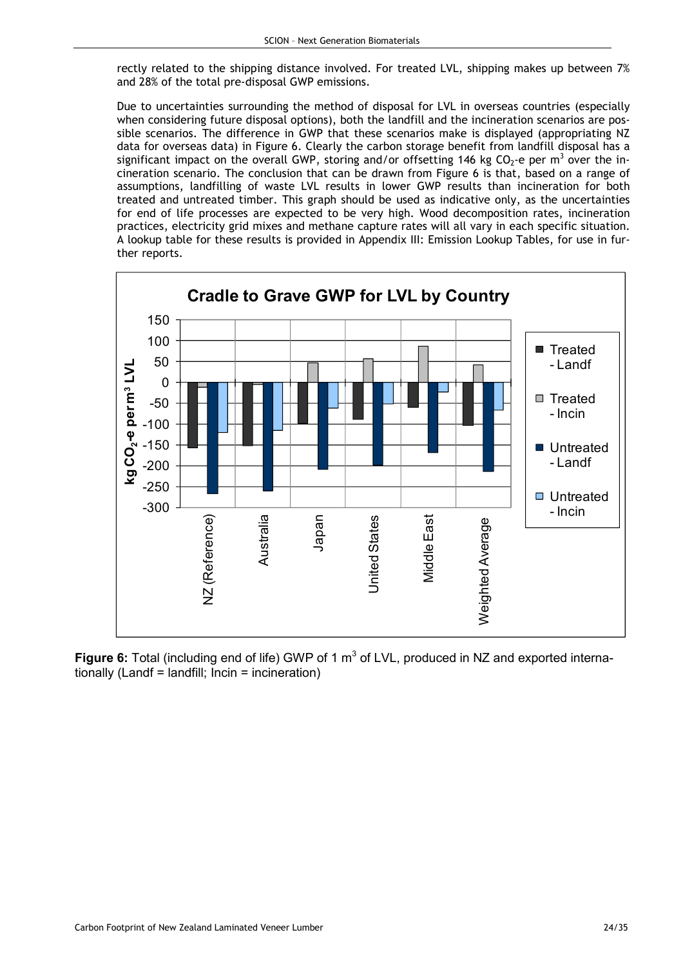rectly related to the shipping distance involved. For treated LVL, shipping makes up between 7% and 28% of the total pre-disposal GWP emissions.

Due to uncertainties surrounding the method of disposal for LVL in overseas countries (especially when considering future disposal options), both the landfill and the incineration scenarios are possible scenarios. The difference in GWP that these scenarios make is displayed (appropriating NZ data for overseas data) in Figure 6. Clearly the carbon storage benefit from landfill disposal has a significant impact on the overall GWP, storing and/or offsetting 146 kg CO<sub>2</sub>-e per m<sup>3</sup> over the incineration scenario. The conclusion that can be drawn from Figure 6 is that, based on a range of assumptions, landfilling of waste LVL results in lower GWP results than incineration for both treated and untreated timber. This graph should be used as indicative only, as the uncertainties for end of life processes are expected to be very high. Wood decomposition rates, incineration practices, electricity grid mixes and methane capture rates will all vary in each specific situation. A lookup table for these results is provided in Appendix III: Emission Lookup Tables, for use in further reports.



Figure 6: Total (including end of life) GWP of 1  $m<sup>3</sup>$  of LVL, produced in NZ and exported internationally (Landf = landfill; Incin = incineration)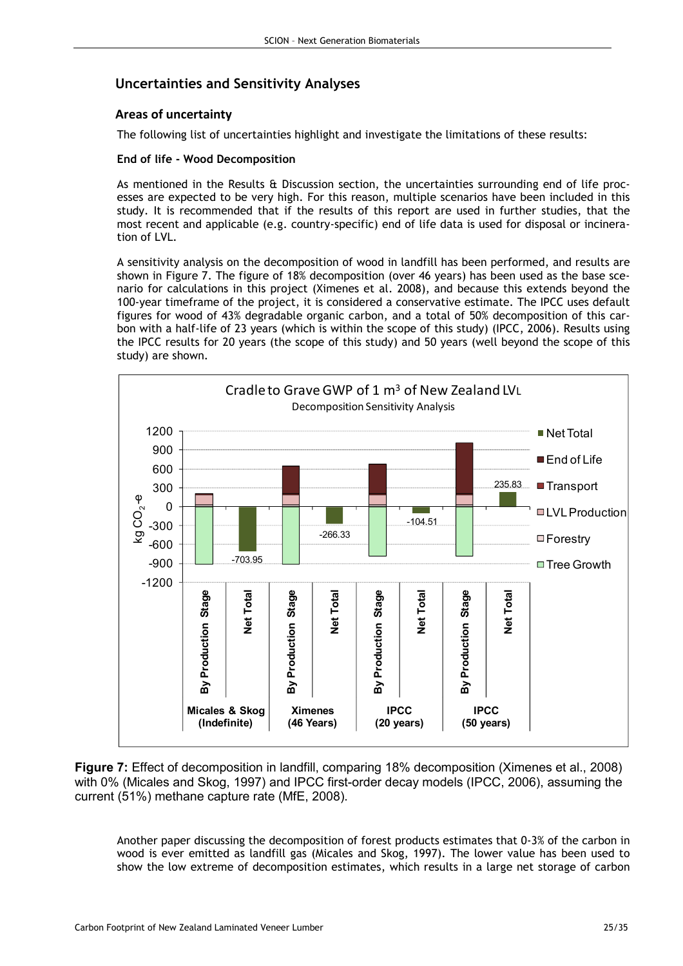# Uncertainties and Sensitivity Analyses

## Areas of uncertainty

The following list of uncertainties highlight and investigate the limitations of these results:

#### End of life - Wood Decomposition

As mentioned in the Results & Discussion section, the uncertainties surrounding end of life processes are expected to be very high. For this reason, multiple scenarios have been included in this study. It is recommended that if the results of this report are used in further studies, that the most recent and applicable (e.g. country-specific) end of life data is used for disposal or incineration of LVL.

A sensitivity analysis on the decomposition of wood in landfill has been performed, and results are shown in Figure 7. The figure of 18% decomposition (over 46 years) has been used as the base scenario for calculations in this project (Ximenes et al. 2008), and because this extends beyond the 100-year timeframe of the project, it is considered a conservative estimate. The IPCC uses default figures for wood of 43% degradable organic carbon, and a total of 50% decomposition of this carbon with a half-life of 23 years (which is within the scope of this study) (IPCC, 2006). Results using the IPCC results for 20 years (the scope of this study) and 50 years (well beyond the scope of this study) are shown.



Figure 7: Effect of decomposition in landfill, comparing 18% decomposition (Ximenes et al., 2008) with 0% (Micales and Skog, 1997) and IPCC first-order decay models (IPCC, 2006), assuming the current (51%) methane capture rate (MfE, 2008).

Another paper discussing the decomposition of forest products estimates that 0-3% of the carbon in wood is ever emitted as landfill gas (Micales and Skog, 1997). The lower value has been used to show the low extreme of decomposition estimates, which results in a large net storage of carbon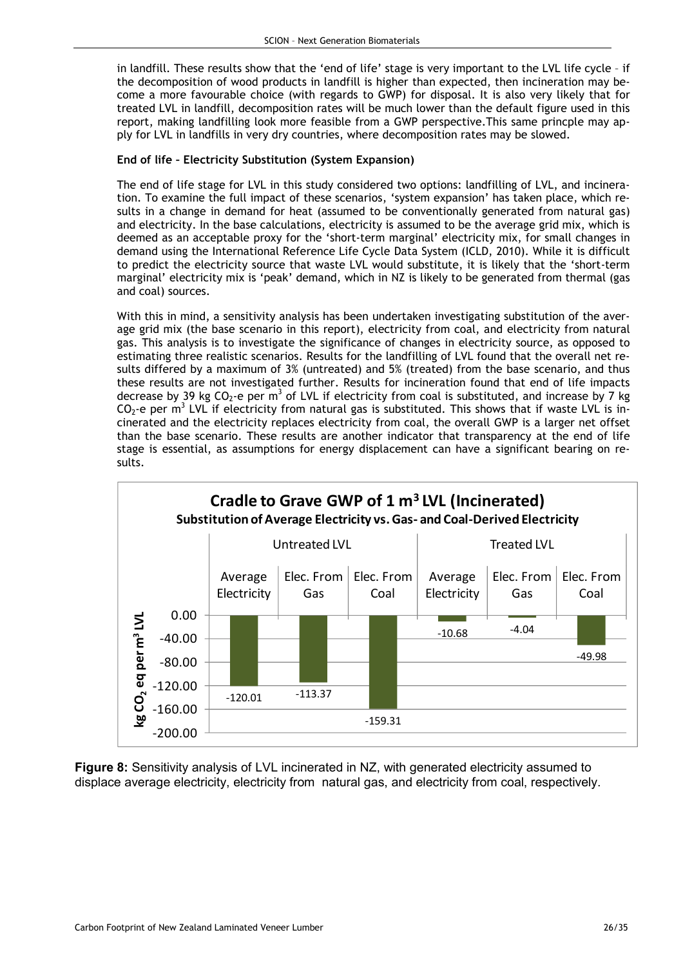in landfill. These results show that the 'end of life' stage is very important to the LVL life cycle – if the decomposition of wood products in landfill is higher than expected, then incineration may become a more favourable choice (with regards to GWP) for disposal. It is also very likely that for treated LVL in landfill, decomposition rates will be much lower than the default figure used in this report, making landfilling look more feasible from a GWP perspective.This same princple may apply for LVL in landfills in very dry countries, where decomposition rates may be slowed.

### End of life – Electricity Substitution (System Expansion)

The end of life stage for LVL in this study considered two options: landfilling of LVL, and incineration. To examine the full impact of these scenarios, 'system expansion' has taken place, which results in a change in demand for heat (assumed to be conventionally generated from natural gas) and electricity. In the base calculations, electricity is assumed to be the average grid mix, which is deemed as an acceptable proxy for the 'short-term marginal' electricity mix, for small changes in demand using the International Reference Life Cycle Data System (ICLD, 2010). While it is difficult to predict the electricity source that waste LVL would substitute, it is likely that the 'short-term marginal' electricity mix is 'peak' demand, which in NZ is likely to be generated from thermal (gas and coal) sources.

With this in mind, a sensitivity analysis has been undertaken investigating substitution of the average grid mix (the base scenario in this report), electricity from coal, and electricity from natural gas. This analysis is to investigate the significance of changes in electricity source, as opposed to estimating three realistic scenarios. Results for the landfilling of LVL found that the overall net results differed by a maximum of 3% (untreated) and 5% (treated) from the base scenario, and thus these results are not investigated further. Results for incineration found that end of life impacts decrease by 39 kg CO<sub>2</sub>-e per m<sup>3</sup> of LVL if electricity from coal is substituted, and increase by 7 kg  $CO_2$ -e per m<sup>3</sup> LVL if electricity from natural gas is substituted. This shows that if waste LVL is incinerated and the electricity replaces electricity from coal, the overall GWP is a larger net offset than the base scenario. These results are another indicator that transparency at the end of life stage is essential, as assumptions for energy displacement can have a significant bearing on results.



Figure 8: Sensitivity analysis of LVL incinerated in NZ, with generated electricity assumed to displace average electricity, electricity from natural gas, and electricity from coal, respectively.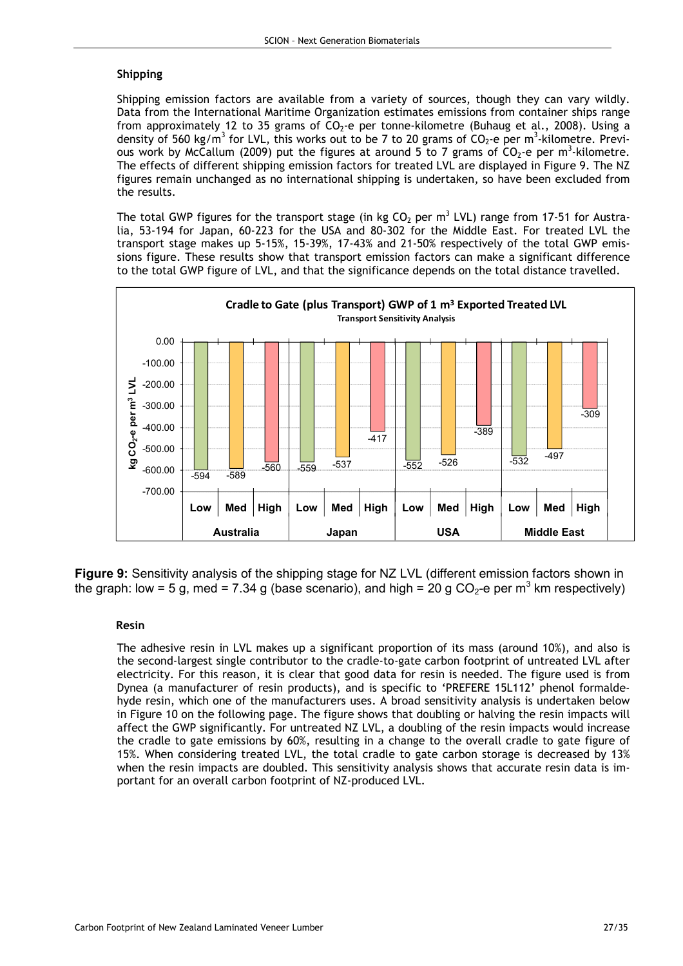#### Shipping

Shipping emission factors are available from a variety of sources, though they can vary wildly. Data from the International Maritime Organization estimates emissions from container ships range from approximately 12 to 35 grams of  $CO<sub>2</sub>$ -e per tonne-kilometre (Buhaug et al., 2008). Using a density of 560 kg/m<sup>3</sup> for LVL, this works out to be 7 to 20 grams of  $CO_2$ -e per m<sup>3</sup>-kilometre. Previous work by McCallum (2009) put the figures at around 5 to 7 grams of  $CO_2$ -e per m<sup>3</sup>-kilometre. The effects of different shipping emission factors for treated LVL are displayed in Figure 9. The NZ figures remain unchanged as no international shipping is undertaken, so have been excluded from the results.

The total GWP figures for the transport stage (in kg CO<sub>2</sub> per m<sup>3</sup> LVL) range from 17-51 for Australia, 53-194 for Japan, 60-223 for the USA and 80-302 for the Middle East. For treated LVL the transport stage makes up 5-15%, 15-39%, 17-43% and 21-50% respectively of the total GWP emissions figure. These results show that transport emission factors can make a significant difference to the total GWP figure of LVL, and that the significance depends on the total distance travelled.



Figure 9: Sensitivity analysis of the shipping stage for NZ LVL (different emission factors shown in the graph: low = 5 g, med = 7.34 g (base scenario), and high = 20 g CO<sub>2</sub>-e per m<sup>3</sup> km respectively)

#### Resin

The adhesive resin in LVL makes up a significant proportion of its mass (around 10%), and also is the second-largest single contributor to the cradle-to-gate carbon footprint of untreated LVL after electricity. For this reason, it is clear that good data for resin is needed. The figure used is from Dynea (a manufacturer of resin products), and is specific to 'PREFERE 15L112' phenol formaldehyde resin, which one of the manufacturers uses. A broad sensitivity analysis is undertaken below in Figure 10 on the following page. The figure shows that doubling or halving the resin impacts will affect the GWP significantly. For untreated NZ LVL, a doubling of the resin impacts would increase the cradle to gate emissions by 60%, resulting in a change to the overall cradle to gate figure of 15%. When considering treated LVL, the total cradle to gate carbon storage is decreased by 13% when the resin impacts are doubled. This sensitivity analysis shows that accurate resin data is important for an overall carbon footprint of NZ-produced LVL.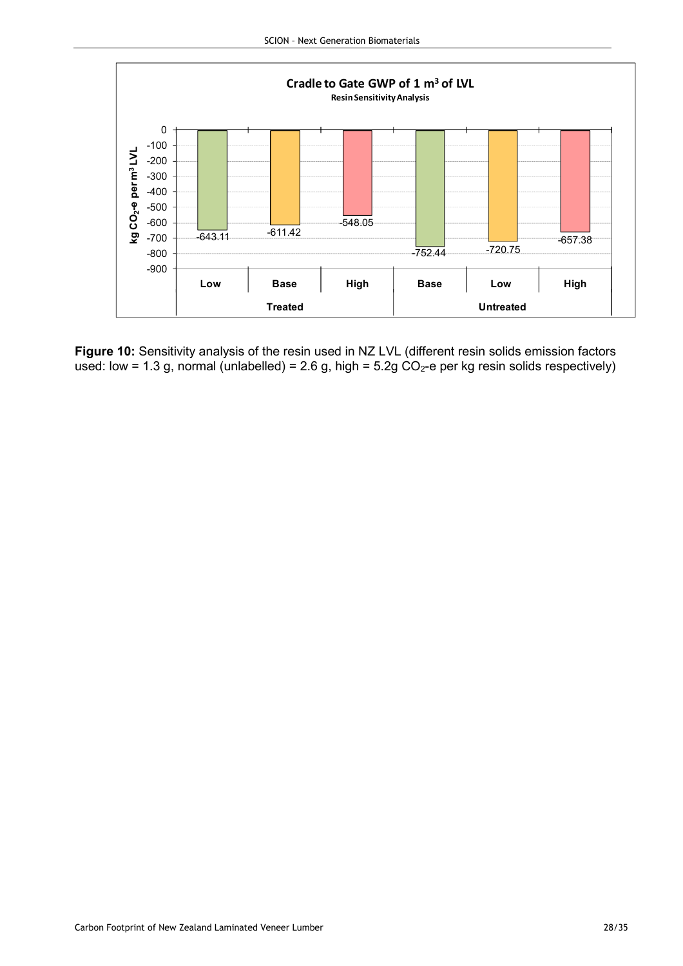

Figure 10: Sensitivity analysis of the resin used in NZ LVL (different resin solids emission factors used: low = 1.3 g, normal (unlabelled) = 2.6 g, high = 5.2g  $CO<sub>2</sub>$ -e per kg resin solids respectively)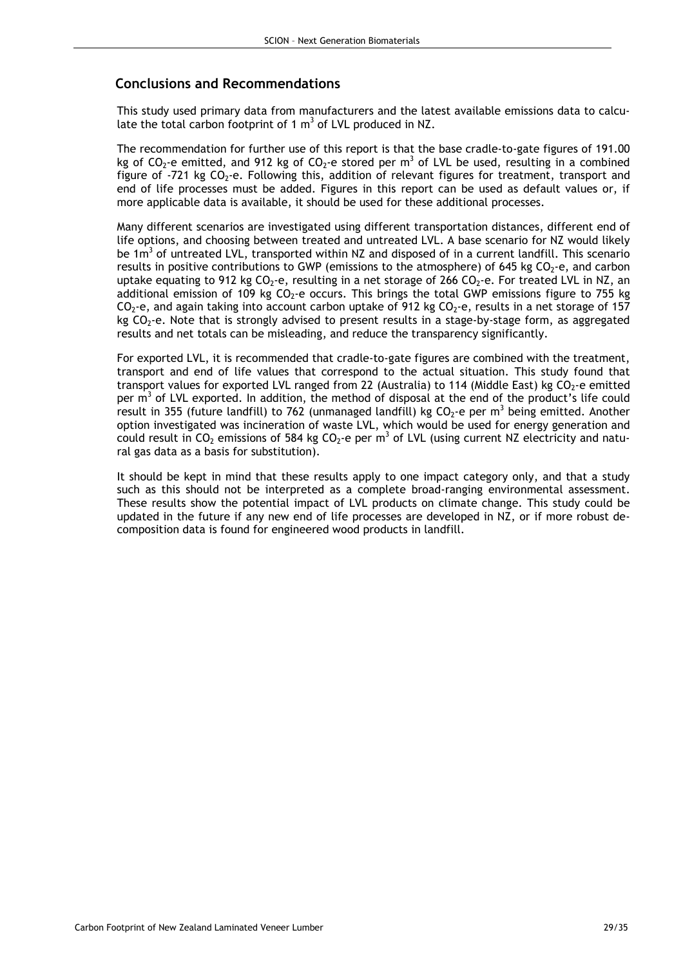## Conclusions and Recommendations

This study used primary data from manufacturers and the latest available emissions data to calculate the total carbon footprint of 1  $m<sup>3</sup>$  of LVL produced in NZ.

The recommendation for further use of this report is that the base cradle-to-gate figures of 191.00 kg of CO<sub>2</sub>-e emitted, and 912 kg of CO<sub>2</sub>-e stored per m<sup>3</sup> of LVL be used, resulting in a combined figure of -721 kg  $CO_2$ -e. Following this, addition of relevant figures for treatment, transport and end of life processes must be added. Figures in this report can be used as default values or, if more applicable data is available, it should be used for these additional processes.

Many different scenarios are investigated using different transportation distances, different end of life options, and choosing between treated and untreated LVL. A base scenario for NZ would likely be 1m<sup>3</sup> of untreated LVL, transported within NZ and disposed of in a current landfill. This scenario results in positive contributions to GWP (emissions to the atmosphere) of 645 kg  $CO<sub>2</sub>$ -e, and carbon uptake equating to 912 kg  $CO_2$ -e, resulting in a net storage of 266  $CO_2$ -e. For treated LVL in NZ, an additional emission of 109 kg  $CO<sub>2</sub>$ -e occurs. This brings the total GWP emissions figure to 755 kg  $CO<sub>2</sub>$ -e, and again taking into account carbon uptake of 912 kg  $CO<sub>2</sub>$ -e, results in a net storage of 157 kg  $CO<sub>2</sub>$ -e. Note that is strongly advised to present results in a stage-by-stage form, as aggregated results and net totals can be misleading, and reduce the transparency significantly.

For exported LVL, it is recommended that cradle-to-gate figures are combined with the treatment, transport and end of life values that correspond to the actual situation. This study found that transport values for exported LVL ranged from 22 (Australia) to 114 (Middle East) kg CO<sub>2</sub>-e emitted per  $m<sup>3</sup>$  of LVL exported. In addition, the method of disposal at the end of the product's life could result in 355 (future landfill) to 762 (unmanaged landfill) kg CO<sub>2</sub>-e per m<sup>3</sup> being emitted. Another option investigated was incineration of waste LVL, which would be used for energy generation and could result in CO<sub>2</sub> emissions of 584 kg CO<sub>2</sub>-e per m<sup>3</sup> of LVL (using current NZ electricity and natural gas data as a basis for substitution).

It should be kept in mind that these results apply to one impact category only, and that a study such as this should not be interpreted as a complete broad-ranging environmental assessment. These results show the potential impact of LVL products on climate change. This study could be updated in the future if any new end of life processes are developed in NZ, or if more robust decomposition data is found for engineered wood products in landfill.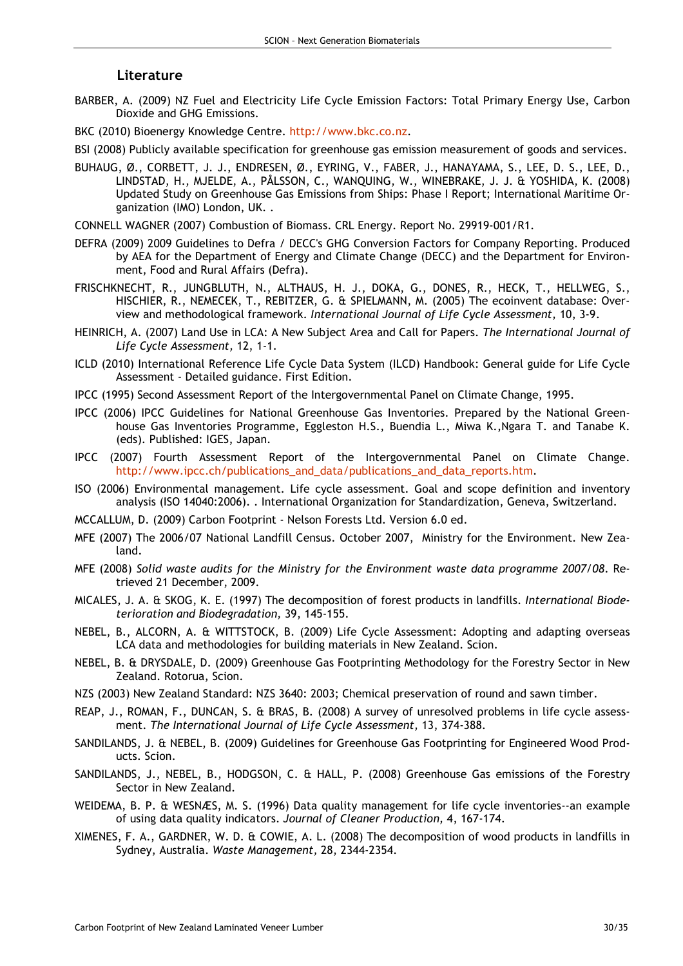#### Literature

- BARBER, A. (2009) NZ Fuel and Electricity Life Cycle Emission Factors: Total Primary Energy Use, Carbon Dioxide and GHG Emissions.
- BKC (2010) Bioenergy Knowledge Centre. http://www.bkc.co.nz.
- BSI (2008) Publicly available specification for greenhouse gas emission measurement of goods and services.
- BUHAUG, Ø., CORBETT, J. J., ENDRESEN, Ø., EYRING, V., FABER, J., HANAYAMA, S., LEE, D. S., LEE, D., LINDSTAD, H., MJELDE, A., PÅLSSON, C., WANQUING, W., WINEBRAKE, J. J. & YOSHIDA, K. (2008) Updated Study on Greenhouse Gas Emissions from Ships: Phase I Report; International Maritime Organization (IMO) London, UK. .
- CONNELL WAGNER (2007) Combustion of Biomass. CRL Energy. Report No. 29919-001/R1.
- DEFRA (2009) 2009 Guidelines to Defra / DECC's GHG Conversion Factors for Company Reporting. Produced by AEA for the Department of Energy and Climate Change (DECC) and the Department for Environment, Food and Rural Affairs (Defra).
- FRISCHKNECHT, R., JUNGBLUTH, N., ALTHAUS, H. J., DOKA, G., DONES, R., HECK, T., HELLWEG, S., HISCHIER, R., NEMECEK, T., REBITZER, G. & SPIELMANN, M. (2005) The ecoinvent database: Overview and methodological framework. International Journal of Life Cycle Assessment, 10, 3-9.
- HEINRICH, A. (2007) Land Use in LCA: A New Subject Area and Call for Papers. The International Journal of Life Cycle Assessment, 12, 1-1.
- ICLD (2010) International Reference Life Cycle Data System (ILCD) Handbook: General guide for Life Cycle Assessment - Detailed guidance. First Edition.
- IPCC (1995) Second Assessment Report of the Intergovernmental Panel on Climate Change, 1995.
- IPCC (2006) IPCC Guidelines for National Greenhouse Gas Inventories. Prepared by the National Greenhouse Gas Inventories Programme, Eggleston H.S., Buendia L., Miwa K.,Ngara T. and Tanabe K. (eds). Published: IGES, Japan.
- IPCC (2007) Fourth Assessment Report of the Intergovernmental Panel on Climate Change. http://www.ipcc.ch/publications\_and\_data/publications\_and\_data\_reports.htm.
- ISO (2006) Environmental management. Life cycle assessment. Goal and scope definition and inventory analysis (ISO 14040:2006). . International Organization for Standardization, Geneva, Switzerland.
- MCCALLUM, D. (2009) Carbon Footprint Nelson Forests Ltd. Version 6.0 ed.
- MFE (2007) The 2006/07 National Landfill Census. October 2007, Ministry for the Environment. New Zealand.
- MFE (2008) Solid waste audits for the Ministry for the Environment waste data programme 2007/08. Retrieved 21 December, 2009.
- MICALES, J. A. & SKOG, K. E. (1997) The decomposition of forest products in landfills. International Biodeterioration and Biodegradation, 39, 145-155.
- NEBEL, B., ALCORN, A. & WITTSTOCK, B. (2009) Life Cycle Assessment: Adopting and adapting overseas LCA data and methodologies for building materials in New Zealand. Scion.
- NEBEL, B. & DRYSDALE, D. (2009) Greenhouse Gas Footprinting Methodology for the Forestry Sector in New Zealand. Rotorua, Scion.
- NZS (2003) New Zealand Standard: NZS 3640: 2003; Chemical preservation of round and sawn timber.
- REAP, J., ROMAN, F., DUNCAN, S. & BRAS, B. (2008) A survey of unresolved problems in life cycle assessment. The International Journal of Life Cycle Assessment, 13, 374-388.
- SANDILANDS, J. & NEBEL, B. (2009) Guidelines for Greenhouse Gas Footprinting for Engineered Wood Products. Scion.
- SANDILANDS, J., NEBEL, B., HODGSON, C. & HALL, P. (2008) Greenhouse Gas emissions of the Forestry Sector in New Zealand.
- WEIDEMA, B. P. & WESNÆS, M. S. (1996) Data quality management for life cycle inventories--an example of using data quality indicators. Journal of Cleaner Production, 4, 167-174.
- XIMENES, F. A., GARDNER, W. D. & COWIE, A. L. (2008) The decomposition of wood products in landfills in Sydney, Australia. Waste Management, 28, 2344-2354.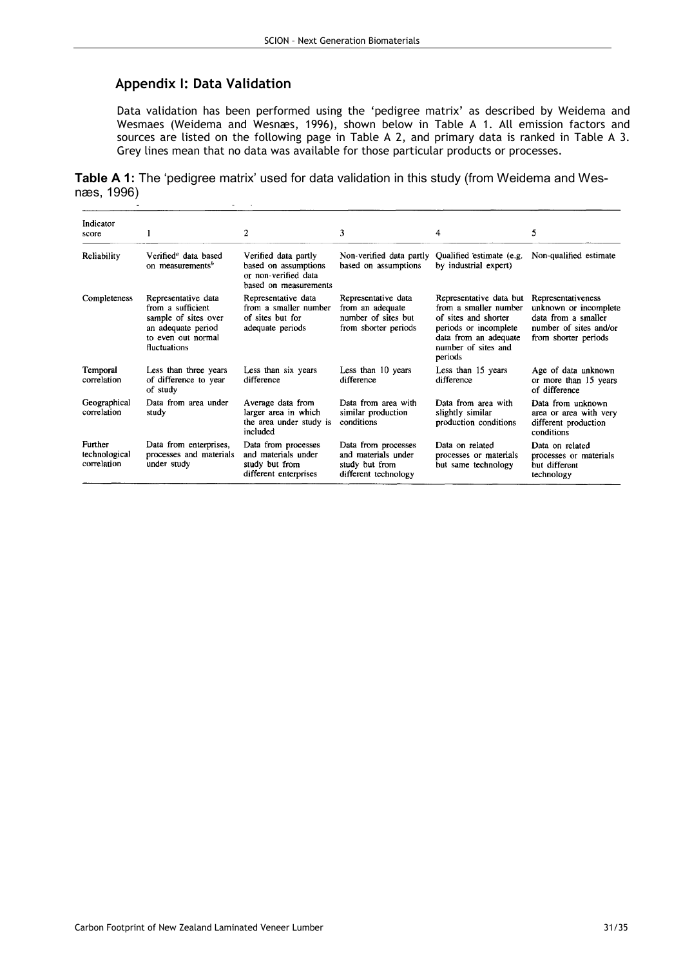## Appendix I: Data Validation

Data validation has been performed using the 'pedigree matrix' as described by Weidema and Wesmaes (Weidema and Wesnæs, 1996), shown below in Table A 1. All emission factors and sources are listed on the following page in Table A 2, and primary data is ranked in Table A 3. Grey lines mean that no data was available for those particular products or processes.

Table A 1: The 'pedigree matrix' used for data validation in this study (from Weidema and Wesnæs, 1996)

| Indicator<br>score                      |                                                                                                                              | 2                                                                                             | 3                                                                                      | 4                                                                                                                                                            | 5                                                                                                                    |
|-----------------------------------------|------------------------------------------------------------------------------------------------------------------------------|-----------------------------------------------------------------------------------------------|----------------------------------------------------------------------------------------|--------------------------------------------------------------------------------------------------------------------------------------------------------------|----------------------------------------------------------------------------------------------------------------------|
| Reliability                             | Verified <sup>a</sup> data based<br>on measurements <sup>b</sup>                                                             | Verified data partly<br>based on assumptions<br>or non-verified data<br>based on measurements | Non-verified data partly<br>based on assumptions                                       | Qualified estimate (e.g.<br>by industrial expert)                                                                                                            | Non-qualified estimate                                                                                               |
| Completeness                            | Representative data<br>from a sufficient<br>sample of sites over<br>an adequate period<br>to even out normal<br>fluctuations | Representative data<br>from a smaller number<br>of sites but for<br>adequate periods          | Representative data<br>from an adequate<br>number of sites but<br>from shorter periods | Representative data but<br>from a smaller number<br>of sites and shorter<br>periods or incomplete<br>data from an adequate<br>number of sites and<br>periods | Representativeness<br>unknown or incomplete<br>data from a smaller<br>number of sites and/or<br>from shorter periods |
| Temporal<br>correlation                 | Less than three years<br>of difference to year<br>of study                                                                   | Less than six years<br>difference                                                             | Less than 10 years<br>difference                                                       | Less than 15 years<br>difference                                                                                                                             | Age of data unknown<br>or more than 15 years<br>of difference                                                        |
| Geographical<br>correlation             | Data from area under<br>study                                                                                                | Average data from<br>larger area in which<br>the area under study is<br>included              | Data from area with<br>similar production<br>conditions                                | Data from area with<br>slightly similar<br>production conditions                                                                                             | Data from unknown<br>area or area with very<br>different production<br>conditions                                    |
| Further<br>technological<br>correlation | Data from enterprises,<br>processes and materials<br>under study                                                             | Data from processes<br>and materials under<br>study but from<br>different enterprises         | Data from processes<br>and materials under<br>study but from<br>different technology   | Data on related<br>processes or materials<br>but same technology                                                                                             | Data on related<br>processes or materials<br>but different<br>technology                                             |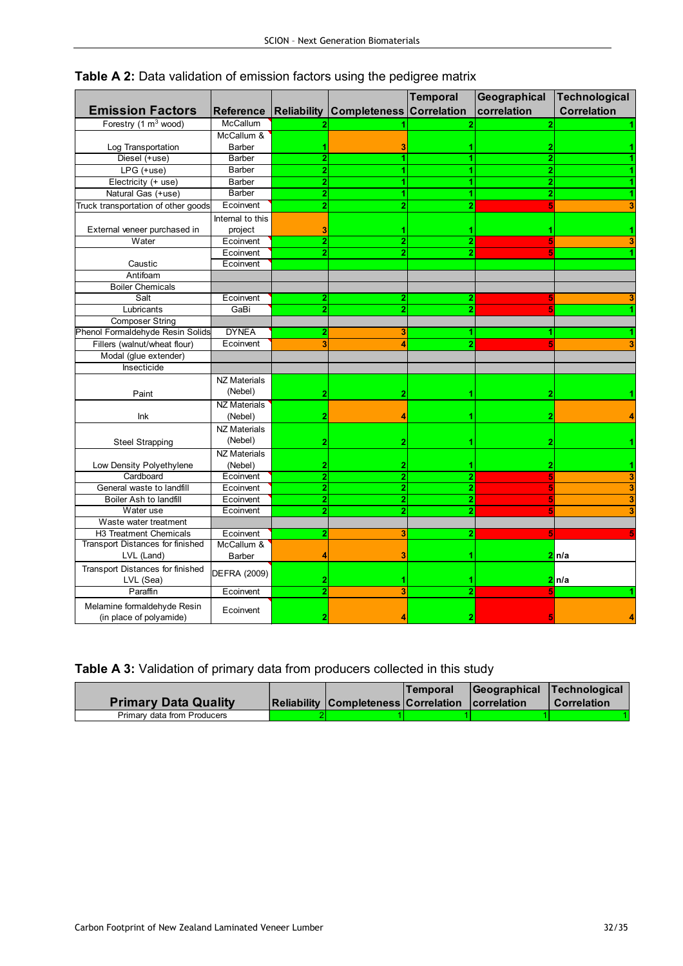|                                     |                     |                |                                 | <b>Temporal</b>    | Geographical   | <b>Technological</b> |
|-------------------------------------|---------------------|----------------|---------------------------------|--------------------|----------------|----------------------|
| <b>Emission Factors</b>             | <b>Reference</b>    |                | <b>Reliability Completeness</b> | <b>Correlation</b> | correlation    | <b>Correlation</b>   |
| Forestry (1 m <sup>3</sup> wood)    | McCallum            |                |                                 | $\overline{2}$     | 2              |                      |
|                                     | McCallum &          |                |                                 |                    |                |                      |
| Log Transportation                  | Barber              |                |                                 |                    |                |                      |
| Diesel (+use)                       | Barber              | $\overline{2}$ |                                 |                    | $\overline{2}$ |                      |
| LPG (+use)                          | <b>Barber</b>       | 2              |                                 |                    | 2              |                      |
| Electricity (+ use)                 | Barber              | 2              |                                 |                    | 2              |                      |
| Natural Gas (+use)                  | <b>Barber</b>       | $\overline{2}$ |                                 |                    |                |                      |
| Truck transportation of other goods | Ecoinvent           | $\overline{2}$ |                                 |                    |                |                      |
|                                     | Internal to this    |                |                                 |                    |                |                      |
| External veneer purchased in        | project             | 3              |                                 |                    |                |                      |
| Water                               | Ecoinvent           | $\overline{2}$ | 2                               | 2                  |                |                      |
|                                     | Ecoinvent           | $\overline{2}$ | $\overline{2}$                  |                    |                |                      |
| Caustic                             | Ecoinvent           |                |                                 |                    |                |                      |
| Antifoam                            |                     |                |                                 |                    |                |                      |
| <b>Boiler Chemicals</b>             |                     |                |                                 |                    |                |                      |
| Salt                                | Ecoinvent           | $\overline{2}$ | $\overline{2}$                  | $\overline{2}$     |                |                      |
| Lubricants                          | GaBi                | $\overline{2}$ | 2                               |                    |                |                      |
| <b>Composer String</b>              |                     |                |                                 |                    |                |                      |
| Phenol Formaldehyde Resin Solids    | <b>DYNEA</b>        |                |                                 |                    |                |                      |
| Fillers (walnut/wheat flour)        | Ecoinvent           |                |                                 |                    |                |                      |
| Modal (glue extender)               |                     |                |                                 |                    |                |                      |
| Insecticide                         |                     |                |                                 |                    |                |                      |
|                                     | <b>NZ Materials</b> |                |                                 |                    |                |                      |
| Paint                               | (Nebel)             | 2              | 2                               |                    | 2              |                      |
|                                     | <b>NZ Materials</b> |                |                                 |                    |                |                      |
| Ink                                 | (Nebel)             |                |                                 |                    |                |                      |
|                                     | <b>NZ Materials</b> |                |                                 |                    |                |                      |
| <b>Steel Strapping</b>              | (Nebel)             |                |                                 |                    |                |                      |
|                                     | <b>NZ Materials</b> |                |                                 |                    |                |                      |
| Low Density Polyethylene            | (Nebel)             | 2              |                                 |                    |                |                      |
| Cardboard                           | Ecoinvent           | $\overline{2}$ | 2                               | $\overline{2}$     |                | 3                    |
| General waste to landfill           | Ecoinvent           | 2              | $\overline{2}$                  | $\overline{2}$     |                | 3                    |
| Boiler Ash to landfill              | Ecoinvent           | $\overline{2}$ | $\overline{2}$                  | $\overline{2}$     |                | 3                    |
| Water use                           | Ecoinvent           | $\overline{2}$ |                                 | $\overline{2}$     |                | 3                    |
| Waste water treatment               |                     |                |                                 |                    |                |                      |
| H3 Treatment Chemicals              | Ecoinvent           | 2              | 3                               | 2                  |                |                      |
| Transport Distances for finished    | McCallum &          |                |                                 |                    |                |                      |
| LVL (Land)                          | Barber              |                |                                 |                    |                | 2ln/a                |
| Transport Distances for finished    |                     |                |                                 |                    |                |                      |
| LVL (Sea)                           | <b>DEFRA (2009)</b> |                |                                 |                    |                | 2 n/a                |
| Paraffin                            | Ecoinvent           |                | 3                               | $\overline{2}$     |                |                      |
| Melamine formaldehyde Resin         |                     |                |                                 |                    |                |                      |
| (in place of polyamide)             | Ecoinvent           |                |                                 |                    |                |                      |

Table A 2: Data validation of emission factors using the pedigree matrix

| <b>Primary Data Quality</b> | Reliability   Completeness   Correlation   correlation | lTemporal | Geographical Technological<br>I Correlation |
|-----------------------------|--------------------------------------------------------|-----------|---------------------------------------------|
| Primary data from Producers |                                                        |           |                                             |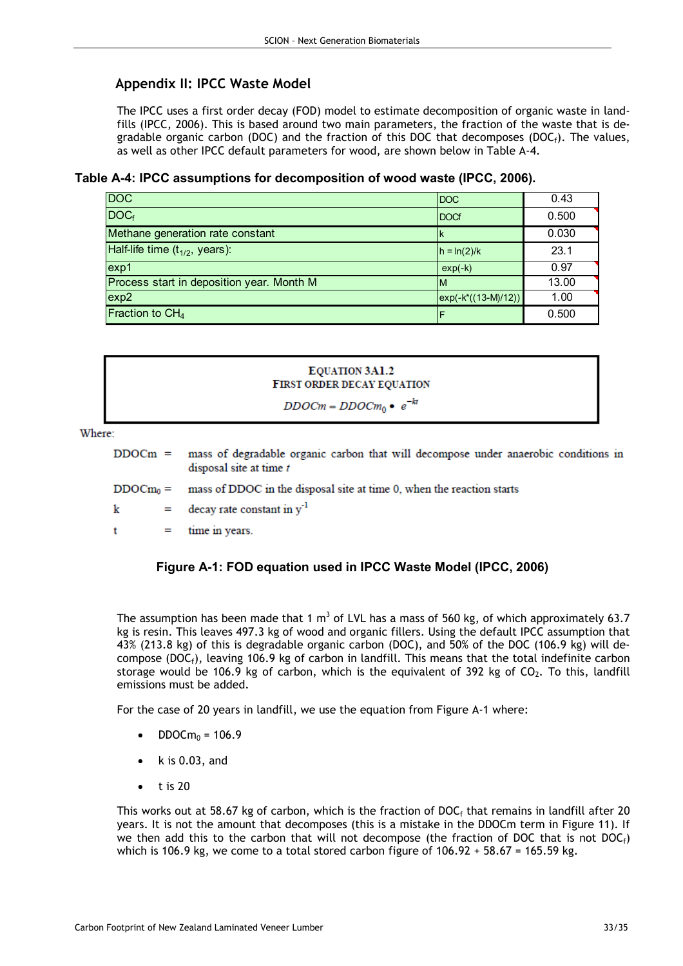## Appendix II: IPCC Waste Model

The IPCC uses a first order decay (FOD) model to estimate decomposition of organic waste in landfills (IPCC, 2006). This is based around two main parameters, the fraction of the waste that is degradable organic carbon (DOC) and the fraction of this DOC that decomposes (DOC<sub>f</sub>). The values, as well as other IPCC default parameters for wood, are shown below in Table A-4.

Table A-4: IPCC assumptions for decomposition of wood waste (IPCC, 2006).

| <b>DOC</b>                                | <b>DOC</b>             | 0.43  |
|-------------------------------------------|------------------------|-------|
| DOC <sub>f</sub>                          | <b>DOCf</b>            | 0.500 |
| Methane generation rate constant          |                        | 0.030 |
| Half-life time $(t_{1/2}, years)$ :       | $h = ln(2)/k$          | 23.1  |
| exp <sub>1</sub>                          | $exp(-k)$              | 0.97  |
| Process start in deposition year. Month M | ΙM                     | 13.00 |
| exp2                                      | $exp(-k^*((13-M)/12))$ | 1.00  |
| Fraction to CH <sub>4</sub>               |                        | 0.500 |



Where:

| DDOCm = mass of degradable organic carbon that will decompose under anaerobic conditions in |  |  |  |  |  |
|---------------------------------------------------------------------------------------------|--|--|--|--|--|
| disposal site at time t                                                                     |  |  |  |  |  |

mass of DDOC in the disposal site at time 0, when the reaction starts  $DDOCm_0 =$ 

decay rate constant in y<sup>-1</sup> k  $=$ 

 $\mathbf t$  $=$ time in years.

## Figure A-1: FOD equation used in IPCC Waste Model (IPCC, 2006)

The assumption has been made that 1 m<sup>3</sup> of LVL has a mass of 560 kg, of which approximately 63.7 kg is resin. This leaves 497.3 kg of wood and organic fillers. Using the default IPCC assumption that 43% (213.8 kg) of this is degradable organic carbon (DOC), and 50% of the DOC (106.9 kg) will decompose (DOC<sub>f</sub>), leaving 106.9 kg of carbon in landfill. This means that the total indefinite carbon storage would be 106.9 kg of carbon, which is the equivalent of 392 kg of  $CO<sub>2</sub>$ . To this, landfill emissions must be added.

For the case of 20 years in landfill, we use the equation from Figure A-1 where:

- $DDOCm<sub>0</sub> = 106.9$
- $\bullet$  k is 0.03, and
- $\bullet$  t is 20

This works out at 58.67 kg of carbon, which is the fraction of DOC<sub>f</sub> that remains in landfill after 20 years. It is not the amount that decomposes (this is a mistake in the DDOCm term in Figure 11). If we then add this to the carbon that will not decompose (the fraction of DOC that is not DOC $_f$ ) which is 106.9 kg, we come to a total stored carbon figure of  $106.92 + 58.67 = 165.59$  kg.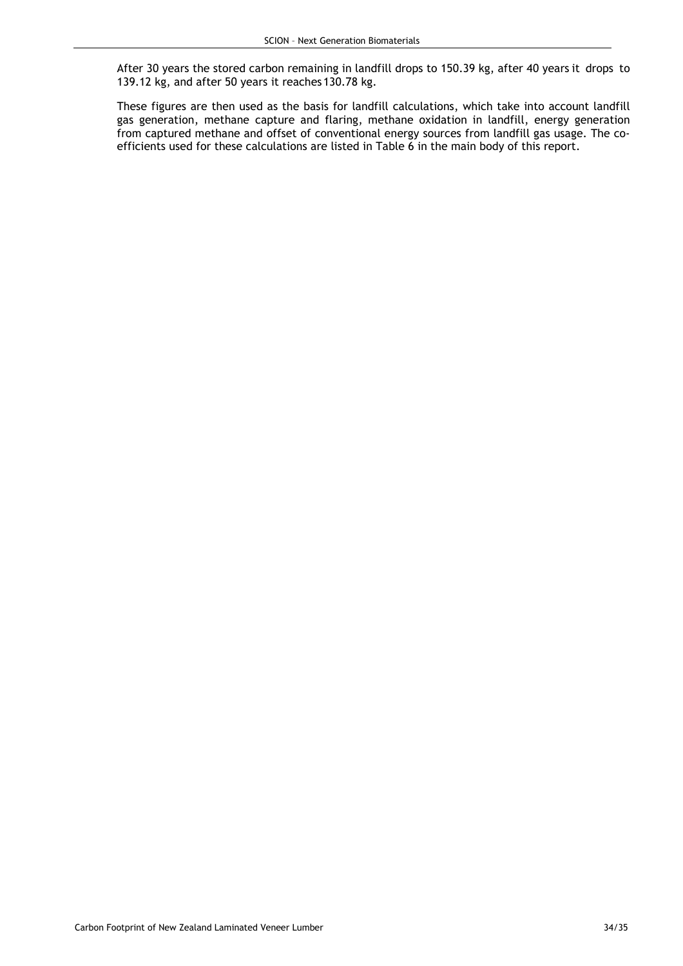After 30 years the stored carbon remaining in landfill drops to 150.39 kg, after 40 years it drops to 139.12 kg, and after 50 years it reaches 130.78 kg.

These figures are then used as the basis for landfill calculations, which take into account landfill gas generation, methane capture and flaring, methane oxidation in landfill, energy generation from captured methane and offset of conventional energy sources from landfill gas usage. The coefficients used for these calculations are listed in Table 6 in the main body of this report.